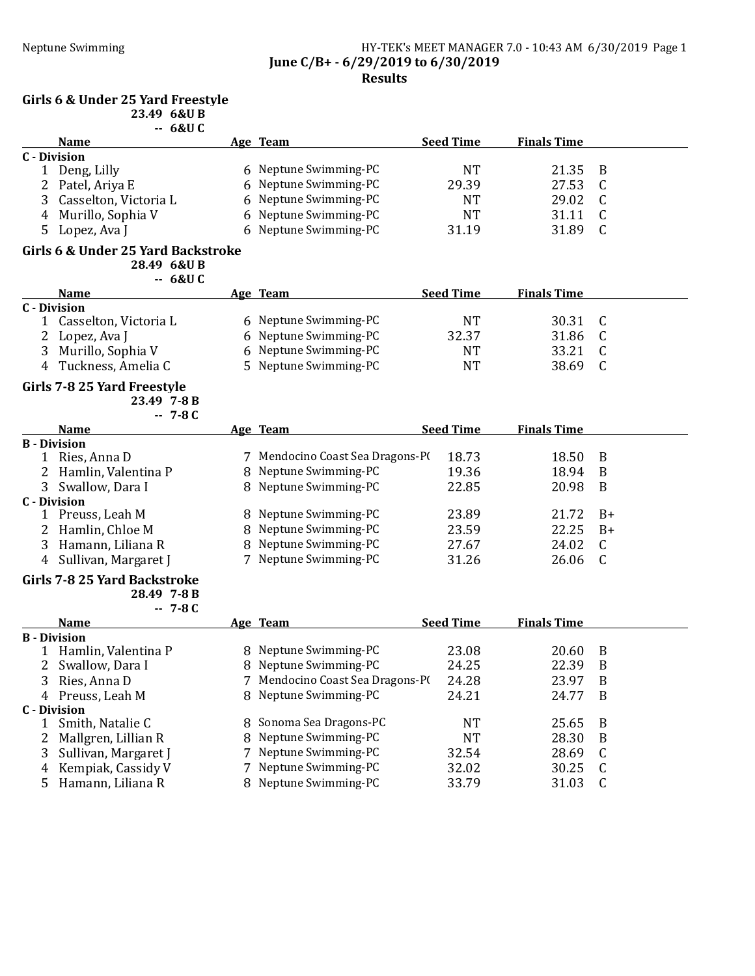#### Neptune Swimming HY-TEK's MEET MANAGER 7.0 - 10:43 AM 6/30/2019 Page 1 June C/B+ - 6/29/2019 to 6/30/2019 Results

#### Girls 6 & Under 25 Yard Freestyle

23.49 6&U B  $68U C$ 

|              | -- voxv u             |                       |                  |                    |  |
|--------------|-----------------------|-----------------------|------------------|--------------------|--|
|              | <b>Name</b>           | Age Team              | <b>Seed Time</b> | <b>Finals Time</b> |  |
| C - Division |                       |                       |                  |                    |  |
|              | Deng, Lilly           | 6 Neptune Swimming-PC | NT               | 21.35 B            |  |
|              | 2 Patel, Ariya E      | 6 Neptune Swimming-PC | 29.39            | 27.53              |  |
|              | Casselton, Victoria L | 6 Neptune Swimming-PC | NT               | 29.02              |  |
|              | 4 Murillo, Sophia V   | 6 Neptune Swimming-PC | <b>NT</b>        | 31.11              |  |
|              | Lopez, Ava J          | 6 Neptune Swimming-PC | 31.19            | 31.89              |  |

#### Girls 6 & Under 25 Yard Backstroke

28.49 6&U B -- 6&U C

| <b>Name</b>           | Age Team              | <b>Seed Time</b> | <b>Finals Time</b> |  |
|-----------------------|-----------------------|------------------|--------------------|--|
| C - Division          |                       |                  |                    |  |
| Casselton, Victoria L | 6 Neptune Swimming-PC | NT               | 30.31 C            |  |
| 2 Lopez, Ava J        | 6 Neptune Swimming-PC | 32.37            | 31.86              |  |
| 3 Murillo, Sophia V   | 6 Neptune Swimming-PC | <b>NT</b>        | 33.21              |  |
| Tuckness, Amelia C    | 5 Neptune Swimming-PC | NT               | 38.69              |  |

### Girls 7-8 25 Yard Freestyle

| 23.49 7-8 B |           |  |
|-------------|-----------|--|
|             | $-7 - 8C$ |  |

| <b>Name</b>           | Age Team                         | <b>Seed Time</b> | <b>Finals Time</b> |      |
|-----------------------|----------------------------------|------------------|--------------------|------|
| <b>B</b> - Division   |                                  |                  |                    |      |
| Ries, Anna D          | 7 Mendocino Coast Sea Dragons-PO | 18.73            | 18.50              | - B  |
| 2 Hamlin, Valentina P | 8 Neptune Swimming-PC            | 19.36            | 18.94              | - B  |
| 3 Swallow, Dara I     | 8 Neptune Swimming-PC            | 22.85            | 20.98              | - B  |
| C - Division          |                                  |                  |                    |      |
| Preuss, Leah M        | 8 Neptune Swimming-PC            | 23.89            | 21.72              | $B+$ |
| 2 Hamlin, Chloe M     | 8 Neptune Swimming-PC            | 23.59            | 22.25              | $B+$ |
| Hamann, Liliana R     | 8 Neptune Swimming-PC            | 27.67            | 24.02              | - C  |
| Sullivan, Margaret J  | 7 Neptune Swimming-PC            | 31.26            | 26.06              |      |

### Girls 7-8 25 Yard Backstroke

28.49 7-8 B

-- 7-8 C

|   | <b>Name</b>          | Age Team                         | <b>Seed Time</b> | <b>Finals Time</b> |    |
|---|----------------------|----------------------------------|------------------|--------------------|----|
|   | <b>B</b> - Division  |                                  |                  |                    |    |
|   | Hamlin, Valentina P  | 8 Neptune Swimming-PC            | 23.08            | 20.60              | B  |
| 2 | Swallow, Dara I      | 8 Neptune Swimming-PC            | 24.25            | 22.39              | B  |
| 3 | Ries, Anna D         | 7 Mendocino Coast Sea Dragons-PO | 24.28            | 23.97              | B  |
|   | 4 Preuss, Leah M     | 8 Neptune Swimming-PC            | 24.21            | 24.77              | B  |
|   | <b>C</b> - Division  |                                  |                  |                    |    |
|   | Smith, Natalie C     | 8 Sonoma Sea Dragons-PC          | NT               | 25.65              | B  |
| 2 | Mallgren, Lillian R  | 8 Neptune Swimming-PC            | NT               | 28.30              | B  |
| 3 | Sullivan, Margaret J | 7 Neptune Swimming-PC            | 32.54            | 28.69              |    |
| 4 | Kempiak, Cassidy V   | 7 Neptune Swimming-PC            | 32.02            | 30.25              | C. |
|   | Hamann, Liliana R    | 8 Neptune Swimming-PC            | 33.79            | 31.03              |    |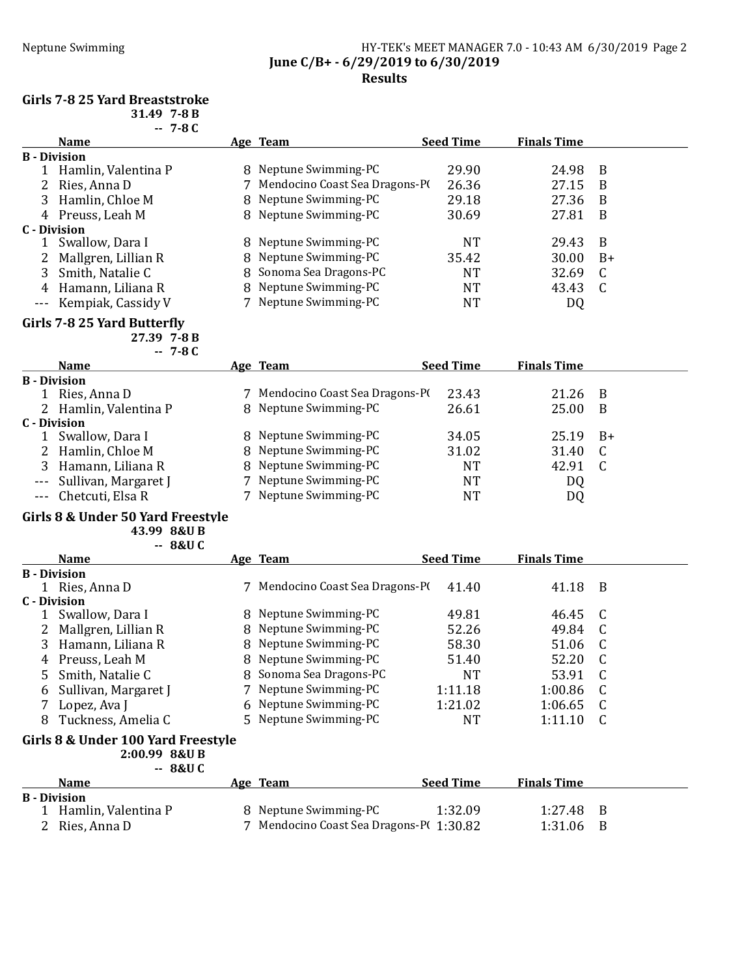### Neptune Swimming HY-TEK's MEET MANAGER 7.0 - 10:43 AM 6/30/2019 Page 2 June C/B+ - 6/29/2019 to 6/30/2019 Results

#### Girls 7-8 25 Yard Breaststroke

|    | $-7-8C$             |                                |                  |                    |      |
|----|---------------------|--------------------------------|------------------|--------------------|------|
|    | <b>Name</b>         | Age Team                       | <b>Seed Time</b> | <b>Finals Time</b> |      |
|    | <b>B</b> - Division |                                |                  |                    |      |
|    | Hamlin, Valentina P | 8 Neptune Swimming-PC          | 29.90            | 24.98              | B    |
|    | Ries, Anna D        | Mendocino Coast Sea Dragons-PO | 26.36            | 27.15              | B    |
| 3. | Hamlin, Chloe M     | 8 Neptune Swimming-PC          | 29.18            | 27.36              | B    |
| 4  | Preuss, Leah M      | 8 Neptune Swimming-PC          | 30.69            | 27.81              | B    |
|    | C - Division        |                                |                  |                    |      |
|    | Swallow, Dara I     | 8 Neptune Swimming-PC          | <b>NT</b>        | 29.43              | B    |
| 2  | Mallgren, Lillian R | 8 Neptune Swimming-PC          | 35.42            | 30.00              | $B+$ |
|    | Smith, Natalie C    | 8 Sonoma Sea Dragons-PC        | NT               | 32.69              | C    |
| 4  | Hamann, Liliana R   | 8 Neptune Swimming-PC          | <b>NT</b>        | 43.43              |      |
|    | Kempiak, Cassidy V  | 7 Neptune Swimming-PC          | NT               | DQ                 |      |

#### Girls 7-8 25 Yard Butterfly

27.39 7-8 B

|              | $-7-8C$                  |                                  |                  |                    |      |
|--------------|--------------------------|----------------------------------|------------------|--------------------|------|
|              | <b>Name</b>              | <u>Age Team</u>                  | <b>Seed Time</b> | <b>Finals Time</b> |      |
|              | <b>B</b> - Division      |                                  |                  |                    |      |
|              | Ries, Anna D             | 7 Mendocino Coast Sea Dragons-P( | 23.43            | 21.26              | -B   |
|              | 2 Hamlin, Valentina P    | 8 Neptune Swimming-PC            | 26.61            | 25.00              | B    |
| C - Division |                          |                                  |                  |                    |      |
|              | Swallow, Dara I          | 8 Neptune Swimming-PC            | 34.05            | 25.19              | - B+ |
|              | 2 Hamlin, Chloe M        | 8 Neptune Swimming-PC            | 31.02            | 31.40              | C    |
|              | Hamann, Liliana R        | 8 Neptune Swimming-PC            | NT               | 42.91              | C    |
|              | --- Sullivan, Margaret J | 7 Neptune Swimming-PC            | NT               | DQ                 |      |
|              | --- Chetcuti, Elsa R     | Neptune Swimming-PC              | NT               | DQ                 |      |

#### Girls 8 & Under 50 Yard Freestyle

43.99 8&U B -- 8&U C

|   | <b>Name</b>           | Age Team                         | <b>Seed Time</b> | <b>Finals Time</b> |     |
|---|-----------------------|----------------------------------|------------------|--------------------|-----|
|   | <b>B</b> - Division   |                                  |                  |                    |     |
|   | Ries, Anna D          | 7 Mendocino Coast Sea Dragons-P( | 41.40            | 41.18              | B   |
|   | C - Division          |                                  |                  |                    |     |
|   | Swallow, Dara I       | 8 Neptune Swimming-PC            | 49.81            | 46.45 C            |     |
|   | 2 Mallgren, Lillian R | 8 Neptune Swimming-PC            | 52.26            | 49.84              | - C |
|   | 3 Hamann, Liliana R   | 8 Neptune Swimming-PC            | 58.30            | 51.06              |     |
|   | 4 Preuss, Leah M      | 8 Neptune Swimming-PC            | 51.40            | 52.20              |     |
|   | 5 Smith, Natalie C    | 8 Sonoma Sea Dragons-PC          | NT               | 53.91              |     |
| 6 | Sullivan, Margaret J  | 7 Neptune Swimming-PC            | 1:11.18          | 1:00.86            | C   |
|   | Lopez, Ava J          | 6 Neptune Swimming-PC            | 1:21.02          | 1:06.65            | C   |
| 8 | Tuckness, Amelia C    | 5 Neptune Swimming-PC            | NT               | 1:11.10            |     |

# Girls 8 & Under 100 Yard Freestyle

2:00.99 8&U B -- 8&U C

|                     | <b>Name</b>         | Age Team                                | <b>Seed Time</b> | <b>Finals Time</b> |  |
|---------------------|---------------------|-----------------------------------------|------------------|--------------------|--|
| <b>B</b> - Division |                     |                                         |                  |                    |  |
|                     | Hamlin, Valentina P | 8 Neptune Swimming-PC                   | 1:32.09          | $1:27.48$ B        |  |
|                     | Ries, Anna D        | 7 Mendocino Coast Sea Dragons-P(1:30.82 |                  | 1:31.06 B          |  |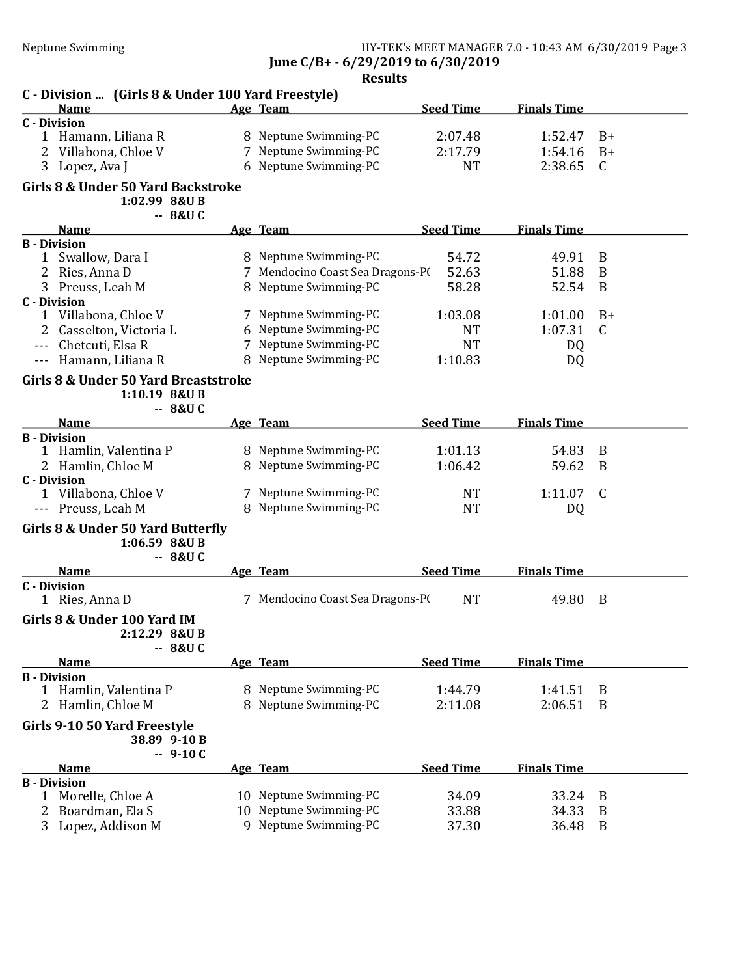| C - Division  (Girls 8 & Under 100 Yard Freestyle)                |    | results                          |                  |                    |                  |
|-------------------------------------------------------------------|----|----------------------------------|------------------|--------------------|------------------|
| <b>Name</b>                                                       |    | Age Team                         | <b>Seed Time</b> | <b>Finals Time</b> |                  |
| <b>C</b> - Division                                               |    |                                  |                  |                    |                  |
| 1 Hamann, Liliana R                                               |    | 8 Neptune Swimming-PC            | 2:07.48          | 1:52.47            | $B+$             |
| 2<br>Villabona, Chloe V                                           |    | 7 Neptune Swimming-PC            | 2:17.79          | 1:54.16            | $B+$             |
| 3 Lopez, Ava J                                                    |    | 6 Neptune Swimming-PC            | <b>NT</b>        | 2:38.65            | C                |
| Girls 8 & Under 50 Yard Backstroke<br>1:02.99 8&U B<br>$-8&0$ C   |    |                                  |                  |                    |                  |
| <b>Name</b>                                                       |    | Age Team                         | <b>Seed Time</b> | <b>Finals Time</b> |                  |
| <b>B</b> - Division                                               |    |                                  |                  |                    |                  |
| Swallow, Dara I<br>1                                              |    | 8 Neptune Swimming-PC            | 54.72            | 49.91              | B                |
| Ries, Anna D<br>2                                                 |    | 7 Mendocino Coast Sea Dragons-PI | 52.63            | 51.88              | B                |
| 3 Preuss, Leah M                                                  |    | 8 Neptune Swimming-PC            | 58.28            | 52.54              | B                |
| <b>C</b> - Division                                               |    |                                  |                  |                    |                  |
| 1 Villabona, Chloe V                                              |    | 7 Neptune Swimming-PC            | 1:03.08          | 1:01.00            | $B+$             |
| 2<br>Casselton, Victoria L                                        |    | 6 Neptune Swimming-PC            | <b>NT</b>        | 1:07.31            | C                |
| Chetcuti, Elsa R                                                  |    | 7 Neptune Swimming-PC            | <b>NT</b>        | DQ                 |                  |
| Hamann, Liliana R<br>$- - -$                                      |    | 8 Neptune Swimming-PC            | 1:10.83          | DQ                 |                  |
| Girls 8 & Under 50 Yard Breaststroke<br>1:10.19 8&U B<br>$-8&U$ C |    |                                  |                  |                    |                  |
| <b>Name</b>                                                       |    | Age Team                         | <b>Seed Time</b> | <b>Finals Time</b> |                  |
| <b>B</b> - Division                                               |    |                                  |                  |                    |                  |
| Hamlin, Valentina P<br>1                                          |    | 8 Neptune Swimming-PC            | 1:01.13          | 54.83              | B                |
| 2 Hamlin, Chloe M                                                 |    | 8 Neptune Swimming-PC            | 1:06.42          | 59.62              | B                |
| <b>C</b> - Division                                               |    |                                  |                  |                    |                  |
| 1 Villabona, Chloe V                                              |    | 7 Neptune Swimming-PC            | <b>NT</b>        | 1:11.07            | C                |
| Preuss, Leah M<br>$- - -$                                         |    | 8 Neptune Swimming-PC            | <b>NT</b>        | DQ                 |                  |
| Girls 8 & Under 50 Yard Butterfly<br>1:06.59 8&U B<br>$-8&U$ C    |    |                                  |                  |                    |                  |
| <b>Name</b>                                                       |    | Age Team                         | <b>Seed Time</b> | <b>Finals Time</b> |                  |
| <b>C</b> - Division<br>1 Ries, Anna D                             |    | 7 Mendocino Coast Sea Dragons-PI | <b>NT</b>        | 49.80              | B                |
| Girls 8 & Under 100 Yard IM<br>2:12.29 8&U B<br>$-8&U$ C          |    |                                  |                  |                    |                  |
| <b>Name</b>                                                       |    | Age Team                         | <b>Seed Time</b> | <b>Finals Time</b> |                  |
| <b>B</b> - Division                                               |    |                                  |                  |                    |                  |
| Hamlin, Valentina P<br>1                                          |    | 8 Neptune Swimming-PC            | 1:44.79          | 1:41.51            | B                |
| Hamlin, Chloe M<br>2                                              | 8  | Neptune Swimming-PC              | 2:11.08          | 2:06.51            | B                |
| Girls 9-10 50 Yard Freestyle<br>38.89 9-10 B<br>$-9-10C$          |    |                                  |                  |                    |                  |
| <b>Name</b>                                                       |    | Age Team                         | <b>Seed Time</b> | <b>Finals Time</b> |                  |
| <b>B</b> - Division                                               |    |                                  |                  |                    |                  |
| Morelle, Chloe A<br>1                                             |    | 10 Neptune Swimming-PC           | 34.09            | 33.24              | B                |
| Boardman, Ela S<br>2                                              | 10 | Neptune Swimming-PC              | 33.88            | 34.33              | B                |
| Lopez, Addison M<br>3                                             |    | 9 Neptune Swimming-PC            | 37.30            | 36.48              | $\boldsymbol{B}$ |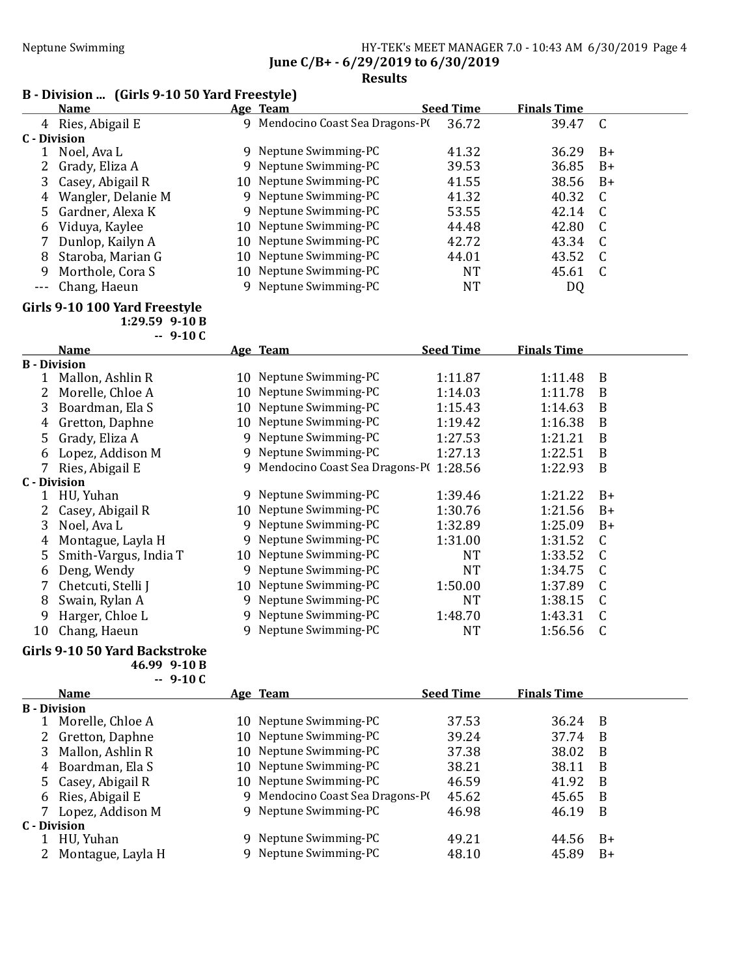# Neptune Swimming HY-TEK's MEET MANAGER 7.0 - 10:43 AM 6/30/2019 Page 4 June C/B+ - 6/29/2019 to 6/30/2019

# Results

# B - Division ... (Girls 9-10 50 Yard Freestyle)

|                                                                                                                                                                                                                                                                                                                                                                                              | <b>Name</b>        |    | Age Team                       | <b>Seed Time</b> | <b>Finals Time</b> |      |
|----------------------------------------------------------------------------------------------------------------------------------------------------------------------------------------------------------------------------------------------------------------------------------------------------------------------------------------------------------------------------------------------|--------------------|----|--------------------------------|------------------|--------------------|------|
|                                                                                                                                                                                                                                                                                                                                                                                              | 4 Ries, Abigail E  | 9. | Mendocino Coast Sea Dragons-P( | 36.72            | 39.47              | C    |
| C - Division                                                                                                                                                                                                                                                                                                                                                                                 |                    |    |                                |                  |                    |      |
|                                                                                                                                                                                                                                                                                                                                                                                              | Noel, Ava L        |    | 9 Neptune Swimming-PC          | 41.32            | 36.29              | B+   |
|                                                                                                                                                                                                                                                                                                                                                                                              | 2 Grady, Eliza A   |    | 9 Neptune Swimming-PC          | 39.53            | 36.85              | $B+$ |
|                                                                                                                                                                                                                                                                                                                                                                                              | Casey, Abigail R   |    | 10 Neptune Swimming-PC         | 41.55            | 38.56              | $B+$ |
| 4                                                                                                                                                                                                                                                                                                                                                                                            | Wangler, Delanie M |    | 9 Neptune Swimming-PC          | 41.32            | 40.32              | - C  |
|                                                                                                                                                                                                                                                                                                                                                                                              | 5 Gardner, Alexa K |    | 9 Neptune Swimming-PC          | 53.55            | 42.14              |      |
| 6                                                                                                                                                                                                                                                                                                                                                                                            | Viduya, Kaylee     |    | 10 Neptune Swimming-PC         | 44.48            | 42.80              |      |
|                                                                                                                                                                                                                                                                                                                                                                                              | Dunlop, Kailyn A   |    | 10 Neptune Swimming-PC         | 42.72            | 43.34              |      |
| 8                                                                                                                                                                                                                                                                                                                                                                                            | Staroba, Marian G  |    | 10 Neptune Swimming-PC         | 44.01            | 43.52              | - C  |
| 9                                                                                                                                                                                                                                                                                                                                                                                            | Morthole, Cora S   |    | 10 Neptune Swimming-PC         | NT               | 45.61              | C    |
| $\frac{1}{2} \frac{1}{2} \frac{1}{2} \frac{1}{2} \frac{1}{2} \frac{1}{2} \frac{1}{2} \frac{1}{2} \frac{1}{2} \frac{1}{2} \frac{1}{2} \frac{1}{2} \frac{1}{2} \frac{1}{2} \frac{1}{2} \frac{1}{2} \frac{1}{2} \frac{1}{2} \frac{1}{2} \frac{1}{2} \frac{1}{2} \frac{1}{2} \frac{1}{2} \frac{1}{2} \frac{1}{2} \frac{1}{2} \frac{1}{2} \frac{1}{2} \frac{1}{2} \frac{1}{2} \frac{1}{2} \frac{$ | Chang, Haeun       |    | 9 Neptune Swimming-PC          | NT               | DQ                 |      |

# Girls 9-10 100 Yard Freestyle

1:29.59 9-10 B

|  | 1 | 0 |
|--|---|---|
|--|---|---|

 $\mathbf{C}$ 

|    | <b>Name</b>           |    | Age Team                              | <b>Seed Time</b> | <b>Finals Time</b> |      |
|----|-----------------------|----|---------------------------------------|------------------|--------------------|------|
|    | <b>B</b> - Division   |    |                                       |                  |                    |      |
|    | Mallon, Ashlin R      |    | 10 Neptune Swimming-PC                | 1:11.87          | 1:11.48            | B    |
|    | Morelle, Chloe A      | 10 | Neptune Swimming-PC                   | 1:14.03          | 1:11.78            | B    |
| 3  | Boardman, Ela S       | 10 | Neptune Swimming-PC                   | 1:15.43          | 1:14.63            | B    |
| 4  | Gretton, Daphne       | 10 | Neptune Swimming-PC                   | 1:19.42          | 1:16.38            | B    |
| 5  | Grady, Eliza A        | 9  | Neptune Swimming-PC                   | 1:27.53          | 1:21.21            | B    |
| 6  | Lopez, Addison M      | 9  | Neptune Swimming-PC                   | 1:27.13          | 1:22.51            | B    |
|    | Ries, Abigail E       | 9  | Mendocino Coast Sea Dragons-P(1:28.56 |                  | 1:22.93            | B    |
|    | C - Division          |    |                                       |                  |                    |      |
|    | HU, Yuhan             | 9  | Neptune Swimming-PC                   | 1:39.46          | 1:21.22            | $B+$ |
|    | Casey, Abigail R      | 10 | Neptune Swimming-PC                   | 1:30.76          | 1:21.56            | $B+$ |
| 3  | Noel, Ava L           | 9  | Neptune Swimming-PC                   | 1:32.89          | 1:25.09            | $B+$ |
| 4  | Montague, Layla H     | 9  | Neptune Swimming-PC                   | 1:31.00          | 1:31.52            | C    |
| 5  | Smith-Vargus, India T | 10 | Neptune Swimming-PC                   | NT               | 1:33.52            |      |
| 6  | Deng, Wendy           | 9  | Neptune Swimming-PC                   | NT               | 1:34.75            |      |
|    | Chetcuti, Stelli J    | 10 | Neptune Swimming-PC                   | 1:50.00          | 1:37.89            |      |
| 8  | Swain, Rylan A        | 9  | Neptune Swimming-PC                   | <b>NT</b>        | 1:38.15            |      |
| 9  | Harger, Chloe L       | 9  | Neptune Swimming-PC                   | 1:48.70          | 1:43.31            |      |
| 10 | Chang, Haeun          |    | Neptune Swimming-PC                   | <b>NT</b>        | 1:56.56            |      |

#### Girls 9-10 50 Yard Backstroke 46.99 9-10 B  $-9-10C$

|   | <b>Name</b>         |    | Age Team                       | <b>Seed Time</b> | <b>Finals Time</b> |      |
|---|---------------------|----|--------------------------------|------------------|--------------------|------|
|   | <b>B</b> - Division |    |                                |                  |                    |      |
|   | Morelle, Chloe A    | 10 | Neptune Swimming-PC            | 37.53            | 36.24              | - B  |
|   | Gretton, Daphne     |    | 10 Neptune Swimming-PC         | 39.24            | 37.74              | B    |
| 3 | Mallon, Ashlin R    |    | 10 Neptune Swimming-PC         | 37.38            | 38.02              | B    |
| 4 | Boardman, Ela S     | 10 | Neptune Swimming-PC            | 38.21            | 38.11              | B    |
|   | 5 Casey, Abigail R  | 10 | Neptune Swimming-PC            | 46.59            | 41.92              | B    |
| 6 | Ries, Abigail E     | 9  | Mendocino Coast Sea Dragons-PO | 45.62            | 45.65              | B    |
|   | Lopez, Addison M    |    | 9 Neptune Swimming-PC          | 46.98            | 46.19              | B    |
|   | C - Division        |    |                                |                  |                    |      |
|   | HU, Yuhan           |    | 9 Neptune Swimming-PC          | 49.21            | 44.56              | $B+$ |
| 2 | Montague, Layla H   |    | Neptune Swimming-PC            | 48.10            | 45.89              | $B+$ |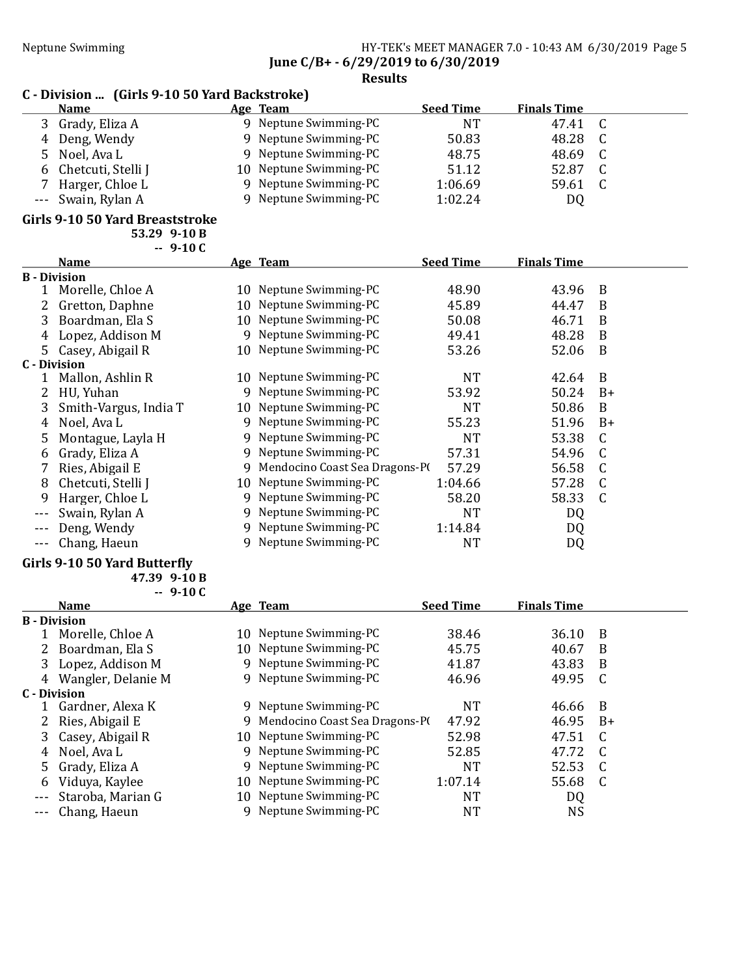Neptune Swimming HY-TEK's MEET MANAGER 7.0 - 10:43 AM 6/30/2019 Page 5 June C/B+ - 6/29/2019 to 6/30/2019

Results

|                     | C - Division  (Girls 9-10 50 Yard Backstroke) |    |                                |                  |                    |              |  |  |  |
|---------------------|-----------------------------------------------|----|--------------------------------|------------------|--------------------|--------------|--|--|--|
|                     | <b>Name</b>                                   |    | Age Team                       | <b>Seed Time</b> | <b>Finals Time</b> |              |  |  |  |
| 3                   | Grady, Eliza A                                |    | 9 Neptune Swimming-PC          | <b>NT</b>        | 47.41              | C            |  |  |  |
| 4                   | Deng, Wendy                                   | 9  | Neptune Swimming-PC            | 50.83            | 48.28              | C            |  |  |  |
| 5                   | Noel, Ava L                                   | 9  | Neptune Swimming-PC            | 48.75            | 48.69              | C            |  |  |  |
| 6                   | Chetcuti, Stelli J                            | 10 | Neptune Swimming-PC            | 51.12            | 52.87              | C            |  |  |  |
|                     | Harger, Chloe L                               | 9  | Neptune Swimming-PC            | 1:06.69          | 59.61              | $\mathsf{C}$ |  |  |  |
| $---$               | Swain, Rylan A                                | 9  | Neptune Swimming-PC            | 1:02.24          | DQ                 |              |  |  |  |
|                     | Girls 9-10 50 Yard Breaststroke               |    |                                |                  |                    |              |  |  |  |
|                     | 53.29 9-10 B                                  |    |                                |                  |                    |              |  |  |  |
|                     | $-9-10C$                                      |    |                                |                  |                    |              |  |  |  |
|                     | <b>Name</b>                                   |    | Age Team                       | <b>Seed Time</b> | <b>Finals Time</b> |              |  |  |  |
| <b>B</b> - Division |                                               |    | 10 Neptune Swimming-PC         | 48.90            |                    |              |  |  |  |
| 1                   | Morelle, Chloe A                              |    |                                |                  | 43.96              | B            |  |  |  |
| 2                   | Gretton, Daphne                               | 10 | Neptune Swimming-PC            | 45.89            | 44.47              | B            |  |  |  |
| 3                   | Boardman, Ela S                               | 10 | Neptune Swimming-PC            | 50.08            | 46.71              | B            |  |  |  |
| 4                   | Lopez, Addison M                              | 9  | Neptune Swimming-PC            | 49.41            | 48.28              | B            |  |  |  |
| 5                   | Casey, Abigail R                              | 10 | Neptune Swimming-PC            | 53.26            | 52.06              | B            |  |  |  |
| <b>C</b> - Division |                                               |    |                                |                  |                    |              |  |  |  |
| 1                   | Mallon, Ashlin R                              |    | 10 Neptune Swimming-PC         | <b>NT</b>        | 42.64              | B            |  |  |  |
| 2                   | HU, Yuhan                                     | 9  | Neptune Swimming-PC            | 53.92            | 50.24              | $B+$         |  |  |  |
| 3                   | Smith-Vargus, India T                         | 10 | Neptune Swimming-PC            | <b>NT</b>        | 50.86              | B            |  |  |  |
| 4                   | Noel, Ava L                                   | 9  | Neptune Swimming-PC            | 55.23            | 51.96              | $B+$         |  |  |  |
| 5                   | Montague, Layla H                             | 9  | Neptune Swimming-PC            | <b>NT</b>        | 53.38              | C            |  |  |  |
| 6                   | Grady, Eliza A                                | 9  | Neptune Swimming-PC            | 57.31            | 54.96              | C            |  |  |  |
| 7                   | Ries, Abigail E                               | 9  | Mendocino Coast Sea Dragons-PI | 57.29            | 56.58              | C            |  |  |  |
| 8                   | Chetcuti, Stelli J                            | 10 | Neptune Swimming-PC            | 1:04.66          | 57.28              | C            |  |  |  |
| 9                   | Harger, Chloe L                               | 9  | Neptune Swimming-PC            | 58.20            | 58.33              | $\mathsf{C}$ |  |  |  |
| $---$               | Swain, Rylan A                                | 9  | Neptune Swimming-PC            | <b>NT</b>        | DQ                 |              |  |  |  |
|                     | Deng, Wendy                                   | 9  | Neptune Swimming-PC            | 1:14.84          | DQ                 |              |  |  |  |
| $- - -$             | Chang, Haeun                                  | 9  | Neptune Swimming-PC            | <b>NT</b>        | DQ                 |              |  |  |  |

# Girls 9-10 50 Yard Butterfly

| 47.39 9-10 B |
|--------------|
| 9-10 C       |

|                     | <b>Name</b>        |     | Age Team                       | <b>Seed Time</b> | <b>Finals Time</b> |    |
|---------------------|--------------------|-----|--------------------------------|------------------|--------------------|----|
| <b>B</b> - Division |                    |     |                                |                  |                    |    |
|                     | Morelle, Chloe A   | 10. | Neptune Swimming-PC            | 38.46            | 36.10              | B  |
|                     | 2 Boardman, Ela S  |     | 10 Neptune Swimming-PC         | 45.75            | 40.67              | B  |
|                     | 3 Lopez, Addison M |     | 9 Neptune Swimming-PC          | 41.87            | 43.83              | B  |
| 4                   | Wangler, Delanie M |     | 9 Neptune Swimming-PC          | 46.96            | 49.95              | C  |
| C - Division        |                    |     |                                |                  |                    |    |
|                     | Gardner, Alexa K   | 9.  | Neptune Swimming-PC            | <b>NT</b>        | 46.66              | B  |
|                     | 2 Ries, Abigail E  | 9   | Mendocino Coast Sea Dragons-PI | 47.92            | 46.95              | B+ |
|                     | 3 Casey, Abigail R |     | 10 Neptune Swimming-PC         | 52.98            | 47.51              | C  |
| 4                   | Noel, Ava L        | 9   | Neptune Swimming-PC            | 52.85            | 47.72              | C. |
|                     | 5 Grady, Eliza A   | 9   | Neptune Swimming-PC            | NT               | 52.53              | C  |
| 6                   | Viduya, Kaylee     | 10- | Neptune Swimming-PC            | 1:07.14          | 55.68              | C  |
| $- - -$             | Staroba, Marian G  |     | 10 Neptune Swimming-PC         | NT               | DQ                 |    |
| $- - -$             | Chang, Haeun       |     | Neptune Swimming-PC            | <b>NT</b>        | NS                 |    |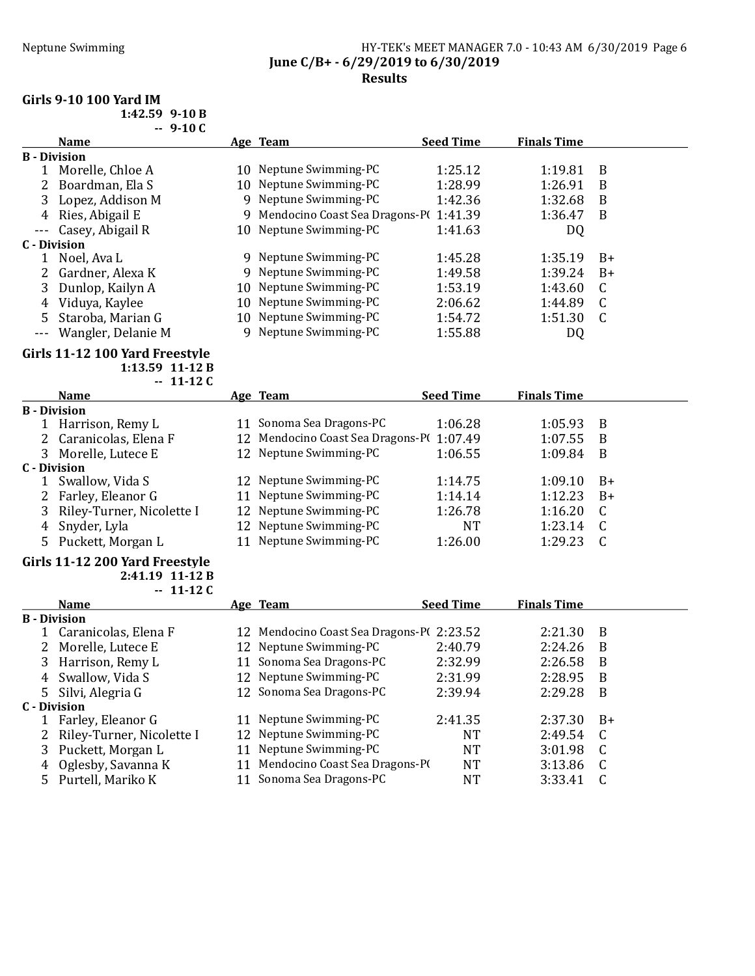### Neptune Swimming Neptune Swimming HY-TEK's MEET MANAGER 7.0 - 10:43 AM 6/30/2019 Page 6 June C/B+ - 6/29/2019 to 6/30/2019 Results

# Girls 9-10 100 Yard IM

| $1:42.59$ 9-10 B |                |
|------------------|----------------|
|                  | <u>በ 1 በ ሮ</u> |

|   | -- 9-10 L              |                                  |                  |                    |      |
|---|------------------------|----------------------------------|------------------|--------------------|------|
|   | <b>Name</b>            | Age Team                         | <b>Seed Time</b> | <b>Finals Time</b> |      |
|   | <b>B</b> - Division    |                                  |                  |                    |      |
|   | Morelle, Chloe A       | 10 Neptune Swimming-PC           | 1:25.12          | 1:19.81            | B    |
|   | Boardman, Ela S        | 10 Neptune Swimming-PC           | 1:28.99          | 1:26.91            | B    |
|   | Lopez, Addison M       | 9 Neptune Swimming-PC            | 1:42.36          | 1:32.68            | B    |
| 4 | Ries, Abigail E        | 9 Mendocino Coast Sea Dragons-PI | 1:41.39          | 1:36.47            | B    |
|   | --- Casey, Abigail R   | 10 Neptune Swimming-PC           | 1:41.63          | DQ                 |      |
|   | C - Division           |                                  |                  |                    |      |
|   | Noel, Ava L            | 9 Neptune Swimming-PC            | 1:45.28          | 1:35.19            | $B+$ |
|   | Gardner, Alexa K       | 9 Neptune Swimming-PC            | 1:49.58          | 1:39.24            | $B+$ |
| 3 | Dunlop, Kailyn A       | 10 Neptune Swimming-PC           | 1:53.19          | 1:43.60            |      |
| 4 | Viduya, Kaylee         | 10 Neptune Swimming-PC           | 2:06.62          | 1:44.89            |      |
| 5 | Staroba, Marian G      | 10 Neptune Swimming-PC           | 1:54.72          | 1:51.30            |      |
|   | --- Wangler, Delanie M | 9 Neptune Swimming-PC            | 1:55.88          | DQ                 |      |

#### Girls 11-12 100 Yard Freestyle 1:13.59 11-12 B

 $-11-12C$ 

|    | <b>Name</b>               |    | Age Team                                 | <b>Seed Time</b> | <b>Finals Time</b> |      |
|----|---------------------------|----|------------------------------------------|------------------|--------------------|------|
|    | <b>B</b> - Division       |    |                                          |                  |                    |      |
| 1  | Harrison, Remy L          | 11 | Sonoma Sea Dragons-PC                    | 1:06.28          | 1:05.93            | B    |
|    | 2 Caranicolas, Elena F    |    | 12 Mendocino Coast Sea Dragons-P(1:07.49 |                  | 1:07.55            | B    |
| 3  | Morelle, Lutece E         |    | 12 Neptune Swimming-PC                   | 1:06.55          | 1:09.84            | B    |
|    | C - Division              |    |                                          |                  |                    |      |
|    | Swallow, Vida S           |    | 12 Neptune Swimming-PC                   | 1:14.75          | 1:09.10            | $B+$ |
|    | 2 Farley, Eleanor G       |    | 11 Neptune Swimming-PC                   | 1:14.14          | 1:12.23            | $B+$ |
| 3. | Riley-Turner, Nicolette I |    | 12 Neptune Swimming-PC                   | 1:26.78          | 1:16.20            |      |
| 4  | Snyder, Lyla              |    | 12 Neptune Swimming-PC                   | NT               | 1:23.14            |      |
| 5. | Puckett, Morgan L         |    | 11 Neptune Swimming-PC                   | 1:26.00          | 1:29.23            |      |
|    |                           |    |                                          |                  |                    |      |

# Girls 11-12 200 Yard Freestyle

2:41.19 11-12 B  $-11-12C$ 

|   | <b>Name</b>               |    | Age Team                          | <b>Seed Time</b> | <b>Finals Time</b> |      |
|---|---------------------------|----|-----------------------------------|------------------|--------------------|------|
|   | <b>B</b> - Division       |    |                                   |                  |                    |      |
|   | 1 Caranicolas, Elena F    |    | 12 Mendocino Coast Sea Dragons-P( | 2:23.52          | 2:21.30            | B    |
| 2 | Morelle, Lutece E         |    | 12 Neptune Swimming-PC            | 2:40.79          | 2:24.26            | B    |
|   | 3 Harrison, Remy L        |    | 11 Sonoma Sea Dragons-PC          | 2:32.99          | 2:26.58            | B    |
| 4 | Swallow, Vida S           |    | 12 Neptune Swimming-PC            | 2:31.99          | 2:28.95            | B    |
|   | 5 Silvi, Alegria G        |    | 12 Sonoma Sea Dragons-PC          | 2:39.94          | 2:29.28            | B    |
|   | C - Division              |    |                                   |                  |                    |      |
|   | Farley, Eleanor G         | 11 | Neptune Swimming-PC               | 2:41.35          | 2:37.30            | $B+$ |
|   | Riley-Turner, Nicolette I |    | 12 Neptune Swimming-PC            | NT               | 2:49.54            | - C  |
|   | 3 Puckett, Morgan L       |    | 11 Neptune Swimming-PC            | NT               | 3:01.98            | C.   |
| 4 | Oglesby, Savanna K        |    | Mendocino Coast Sea Dragons-PO    | NT               | 3:13.86            |      |
|   | 5 Purtell, Mariko K       |    | Sonoma Sea Dragons-PC             | NT               | 3:33.41            |      |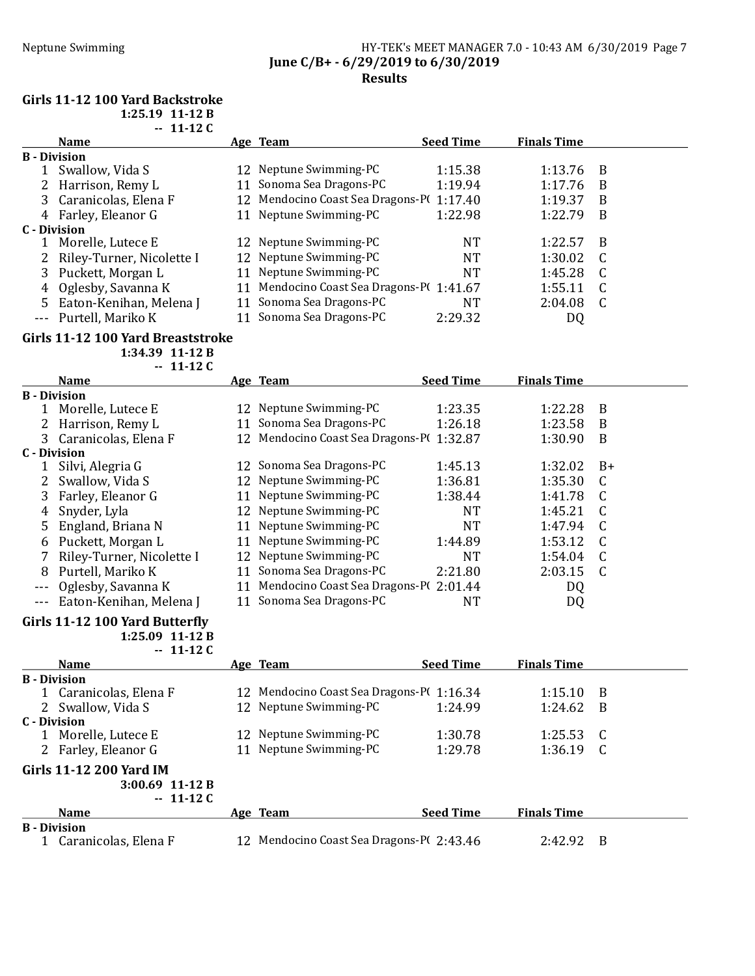#### Neptune Swimming HY-TEK's MEET MANAGER 7.0 - 10:43 AM 6/30/2019 Page 7 June C/B+ - 6/29/2019 to 6/30/2019 Results

#### Girls 11-12 100 Yard Backstroke

1:25.19 11-12 B  $-11-12C$ 

|    | <b>Name</b>               | Age Team                                 | <b>Seed Time</b> | <b>Finals Time</b> |   |
|----|---------------------------|------------------------------------------|------------------|--------------------|---|
|    | <b>B</b> - Division       |                                          |                  |                    |   |
|    | Swallow, Vida S           | 12 Neptune Swimming-PC                   | 1:15.38          | 1:13.76            | B |
|    | 2 Harrison, Remy L        | 11 Sonoma Sea Dragons-PC                 | 1:19.94          | 1:17.76            | B |
|    | 3 Caranicolas, Elena F    | 12 Mendocino Coast Sea Dragons-P(1:17.40 |                  | 1:19.37            | B |
|    | 4 Farley, Eleanor G       | 11 Neptune Swimming-PC                   | 1:22.98          | 1:22.79            | B |
|    | C - Division              |                                          |                  |                    |   |
|    | Morelle, Lutece E         | 12 Neptune Swimming-PC                   | <b>NT</b>        | 1:22.57            | B |
| 2  | Riley-Turner, Nicolette I | 12 Neptune Swimming-PC                   | <b>NT</b>        | 1:30.02            |   |
|    | 3 Puckett, Morgan L       | 11 Neptune Swimming-PC                   | NT               | 1:45.28            | C |
| 4  | Oglesby, Savanna K        | 11 Mendocino Coast Sea Dragons-P(1:41.67 |                  | 1:55.11            | C |
| 5. | Eaton-Kenihan, Melena J   | 11 Sonoma Sea Dragons-PC                 | <b>NT</b>        | 2:04.08            | C |
|    | --- Purtell, Mariko K     | 11 Sonoma Sea Dragons-PC                 | 2:29.32          | DQ                 |   |

#### Girls 11-12 100 Yard Breaststroke

1:34.39 11-12 B  $-11-12C$ 

|         | <b>Name</b>               |    | Age Team                                 | <b>Seed Time</b> | <b>Finals Time</b> |      |
|---------|---------------------------|----|------------------------------------------|------------------|--------------------|------|
|         | <b>B</b> - Division       |    |                                          |                  |                    |      |
|         | Morelle, Lutece E         |    | 12 Neptune Swimming-PC                   | 1:23.35          | 1:22.28            | B    |
|         | Harrison, Remy L          | 11 | Sonoma Sea Dragons-PC                    | 1:26.18          | 1:23.58            | B    |
|         | 3 Caranicolas, Elena F    |    | 12 Mendocino Coast Sea Dragons-P(1:32.87 |                  | 1:30.90            | B    |
|         | C - Division              |    |                                          |                  |                    |      |
|         | Silvi, Alegria G          |    | 12 Sonoma Sea Dragons-PC                 | 1:45.13          | 1:32.02            | $B+$ |
|         | Swallow, Vida S           |    | 12 Neptune Swimming-PC                   | 1:36.81          | 1:35.30            | C.   |
| 3       | Farley, Eleanor G         |    | 11 Neptune Swimming-PC                   | 1:38.44          | 1:41.78            |      |
| 4       | Snyder, Lyla              |    | 12 Neptune Swimming-PC                   | NT               | 1:45.21            |      |
|         | England, Briana N         |    | 11 Neptune Swimming-PC                   | NT               | 1:47.94            |      |
| 6       | Puckett, Morgan L         |    | 11 Neptune Swimming-PC                   | 1:44.89          | 1:53.12            |      |
|         | Riley-Turner, Nicolette I |    | 12 Neptune Swimming-PC                   | NT               | 1:54.04            |      |
| 8       | Purtell, Mariko K         |    | 11 Sonoma Sea Dragons-PC                 | 2:21.80          | 2:03.15            | C    |
| $---$   | Oglesby, Savanna K        | 11 | Mendocino Coast Sea Dragons-Pt           | 2:01.44          | DQ                 |      |
| $- - -$ | Eaton-Kenihan, Melena J   |    | Sonoma Sea Dragons-PC                    | NT               | DQ                 |      |

# Girls 11-12 100 Yard Butterfly

1:25.09 11-12 B  $-11-12C$ 

|                     | <b>Name</b>                                  |  | Age Team                                            | <b>Seed Time</b> | <b>Finals Time</b> |     |
|---------------------|----------------------------------------------|--|-----------------------------------------------------|------------------|--------------------|-----|
| <b>B</b> - Division |                                              |  |                                                     |                  |                    |     |
|                     | Caranicolas, Elena F                         |  | 12 Mendocino Coast Sea Dragons-P <sub>1116.34</sub> |                  | 1:15.10            | -B  |
|                     | 2 Swallow, Vida S                            |  | 12 Neptune Swimming-PC                              | 1:24.99          | 1:24.62            | - B |
| C - Division        |                                              |  |                                                     |                  |                    |     |
|                     | Morelle, Lutece E                            |  | 12 Neptune Swimming-PC                              | 1:30.78          | 1:25.53            | - C |
| 2                   | Farley, Eleanor G                            |  | 11 Neptune Swimming-PC                              | 1:29.78          | 1:36.19            | - C |
|                     | Girls 11-12 200 Yard IM<br>$3:00.69$ 11-12 B |  |                                                     |                  |                    |     |
|                     | $-11-12C$                                    |  |                                                     |                  |                    |     |
|                     | <b>Name</b>                                  |  | Age Team                                            | <b>Seed Time</b> | <b>Finals Time</b> |     |
| <b>B</b> - Division |                                              |  |                                                     |                  |                    |     |
|                     | Caranicolas, Elena F                         |  | 12 Mendocino Coast Sea Dragons-P(2:43.46            |                  | 2:42.92            | -B  |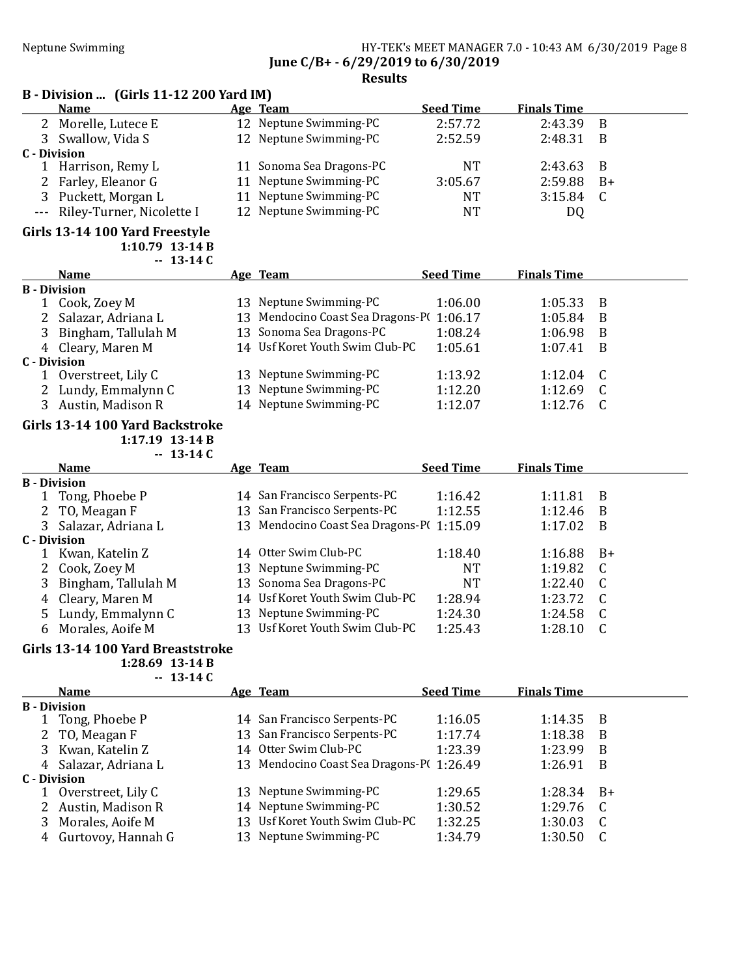# Neptune Swimming HY-TEK's MEET MANAGER 7.0 - 10:43 AM 6/30/2019 Page 8 June C/B+ - 6/29/2019 to 6/30/2019

### Results

# B - Division ... (Girls 11-12 200 Yard IM)

|              | <b>Name</b>                   |  | Age Team                 | <b>Seed Time</b> | <b>Finals Time</b> |      |  |
|--------------|-------------------------------|--|--------------------------|------------------|--------------------|------|--|
|              | 2 Morelle, Lutece E           |  | 12 Neptune Swimming-PC   | 2:57.72          | 2:43.39            | B    |  |
| 3            | Swallow, Vida S               |  | 12 Neptune Swimming-PC   | 2:52.59          | 2:48.31            | B    |  |
| C - Division |                               |  |                          |                  |                    |      |  |
|              | Harrison, Remy L              |  | 11 Sonoma Sea Dragons-PC | NT               | 2:43.63            | - B  |  |
|              | 2 Farley, Eleanor G           |  | 11 Neptune Swimming-PC   | 3:05.67          | 2:59.88            | $B+$ |  |
|              | 3 Puckett, Morgan L           |  | 11 Neptune Swimming-PC   | NT               | 3:15.84            |      |  |
|              | --- Riley-Turner, Nicolette I |  | 12 Neptune Swimming-PC   | NT               | DQ                 |      |  |

#### Girls 13-14 100 Yard Freestyle 1:10.79 13-14 B  $-13-14C$

| <b>Name</b>          | <b>Age Team</b>                          | <b>Seed Time</b> | <b>Finals Time</b> |     |
|----------------------|------------------------------------------|------------------|--------------------|-----|
| <b>B</b> - Division  |                                          |                  |                    |     |
| Cook, Zoey M         | 13 Neptune Swimming-PC                   | 1:06.00          | 1:05.33            | B   |
| 2 Salazar, Adriana L | 13 Mendocino Coast Sea Dragons-P(1:06.17 |                  | 1:05.84            | B   |
| Bingham, Tallulah M  | 13 Sonoma Sea Dragons-PC                 | 1:08.24          | 1:06.98            | B   |
| 4 Cleary, Maren M    | 14 Usf Koret Youth Swim Club-PC          | 1:05.61          | 1:07.41            | B   |
| C - Division         |                                          |                  |                    |     |
| Overstreet, Lily C   | 13 Neptune Swimming-PC                   | 1:13.92          | 1:12.04            | - C |
| Lundy, Emmalynn C    | 13 Neptune Swimming-PC                   | 1:12.20          | 1:12.69            |     |
| Austin, Madison R    | 14 Neptune Swimming-PC                   | 1:12.07          | 1:12.76            |     |
|                      |                                          |                  |                    |     |

#### Girls 13-14 100 Yard Backstroke 1:17.19 13-14 B

 $-13-14C$ 

|   | <b>Name</b>         | Age Team                                 | <b>Seed Time</b> | <b>Finals Time</b> |      |
|---|---------------------|------------------------------------------|------------------|--------------------|------|
|   | <b>B</b> - Division |                                          |                  |                    |      |
|   | Tong, Phoebe P      | 14 San Francisco Serpents-PC             | 1:16.42          | 1:11.81            | В    |
|   | 2 TO, Meagan F      | 13 San Francisco Serpents-PC             | 1:12.55          | 1:12.46            | B    |
|   | Salazar, Adriana L  | 13 Mendocino Coast Sea Dragons-P(1:15.09 |                  | 1:17.02            | B    |
|   | <b>C</b> - Division |                                          |                  |                    |      |
|   | Kwan, Katelin Z     | 14 Otter Swim Club-PC                    | 1:18.40          | 1:16.88            | $B+$ |
|   | 2 Cook, Zoey M      | 13 Neptune Swimming-PC                   | <b>NT</b>        | 1:19.82            |      |
|   | Bingham, Tallulah M | 13 Sonoma Sea Dragons-PC                 | NT               | 1:22.40            |      |
|   | 4 Cleary, Maren M   | 14 Usf Koret Youth Swim Club-PC          | 1:28.94          | 1:23.72            |      |
|   | 5 Lundy, Emmalynn C | 13 Neptune Swimming-PC                   | 1:24.30          | 1:24.58            |      |
| 6 | Morales, Aoife M    | 13 Usf Koret Youth Swim Club-PC          | 1:25.43          | 1:28.10            |      |

# Girls 13-14 100 Yard Breaststroke

1:28.69 13-14 B  $-13-14C$ 

|                     | <b>Name</b>          | Age Team                                  | <b>Seed Time</b> | <b>Finals Time</b> |       |
|---------------------|----------------------|-------------------------------------------|------------------|--------------------|-------|
| <b>B</b> - Division |                      |                                           |                  |                    |       |
|                     | Tong, Phoebe P       | 14 San Francisco Serpents-PC              | 1:16.05          | 1:14.35            | - B   |
|                     | 2 TO, Meagan F       | 13 San Francisco Serpents-PC              | 1:17.74          | 1:18.38            | B     |
|                     | 3 Kwan, Katelin Z    | 14 Otter Swim Club-PC                     | 1:23.39          | 1:23.99            | B     |
|                     | 4 Salazar, Adriana L | 13 Mendocino Coast Sea Dragons-P(1:26.49) |                  | 1:26.91            | B     |
| C - Division        |                      |                                           |                  |                    |       |
|                     | Overstreet, Lily C   | 13 Neptune Swimming-PC                    | 1:29.65          | 1:28.34            | $-B+$ |
|                     | 2 Austin, Madison R  | 14 Neptune Swimming-PC                    | 1:30.52          | 1:29.76            | C.    |
|                     | 3 Morales, Aoife M   | 13 Usf Koret Youth Swim Club-PC           | 1:32.25          | 1:30.03            |       |
|                     | 4 Gurtovoy, Hannah G | 13 Neptune Swimming-PC                    | 1:34.79          | 1:30.50            |       |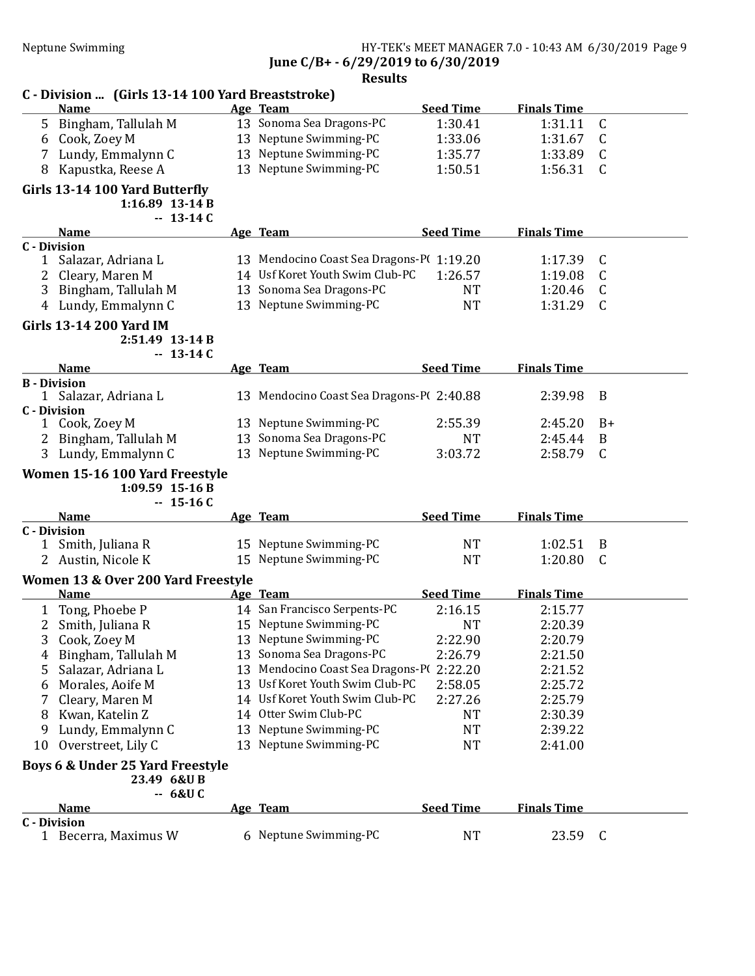### Neptune Swimming HY-TEK's MEET MANAGER 7.0 - 10:43 AM 6/30/2019 Page 9 June C/B+ - 6/29/2019 to 6/30/2019

| C - Division  (Girls 13-14 100 Yard Breaststroke)                |    |                                          |                  |                    |              |
|------------------------------------------------------------------|----|------------------------------------------|------------------|--------------------|--------------|
| <b>Name</b>                                                      |    | Age Team                                 | <b>Seed Time</b> | <b>Finals Time</b> |              |
| 5 Bingham, Tallulah M                                            |    | 13 Sonoma Sea Dragons-PC                 | 1:30.41          | 1:31.11            | C            |
| Cook, Zoey M<br>6                                                |    | 13 Neptune Swimming-PC                   | 1:33.06          | 1:31.67            | C            |
| Lundy, Emmalynn C<br>7                                           |    | 13 Neptune Swimming-PC                   | 1:35.77          | 1:33.89            | C            |
| Kapustka, Reese A<br>8                                           |    | 13 Neptune Swimming-PC                   | 1:50.51          | 1:56.31            | $\mathsf{C}$ |
| Girls 13-14 100 Yard Butterfly<br>1:16.89 13-14 B<br>$-13-14C$   |    |                                          |                  |                    |              |
| <b>Name</b>                                                      |    | Age Team                                 | <b>Seed Time</b> | <b>Finals Time</b> |              |
| <b>C</b> - Division                                              |    |                                          |                  |                    |              |
| Salazar, Adriana L<br>1                                          |    | 13 Mendocino Coast Sea Dragons-P(1:19.20 |                  | 1:17.39            | C            |
| 2<br>Cleary, Maren M                                             |    | 14 Usf Koret Youth Swim Club-PC          | 1:26.57          | 1:19.08            | C            |
| 3<br>Bingham, Tallulah M                                         |    | 13 Sonoma Sea Dragons-PC                 | <b>NT</b>        | 1:20.46            | C            |
| Lundy, Emmalynn C<br>4                                           |    | 13 Neptune Swimming-PC                   | <b>NT</b>        | 1:31.29            | $\mathsf{C}$ |
| <b>Girls 13-14 200 Yard IM</b><br>2:51.49 13-14 B<br>$-13-14C$   |    |                                          |                  |                    |              |
| <b>Name</b>                                                      |    | Age Team                                 | <b>Seed Time</b> | <b>Finals Time</b> |              |
| <b>B</b> - Division                                              |    |                                          |                  |                    |              |
| 1 Salazar, Adriana L                                             |    | 13 Mendocino Coast Sea Dragons-P(2:40.88 |                  | 2:39.98            | B            |
| <b>C</b> - Division                                              |    |                                          |                  |                    |              |
| 1 Cook, Zoey M                                                   |    | 13 Neptune Swimming-PC                   | 2:55.39          | 2:45.20            | $B+$         |
| Bingham, Tallulah M<br>2                                         |    | 13 Sonoma Sea Dragons-PC                 | <b>NT</b>        | 2:45.44            | B            |
| 3 Lundy, Emmalynn C                                              |    | 13 Neptune Swimming-PC                   | 3:03.72          | 2:58.79            | $\mathsf{C}$ |
| Women 15-16 100 Yard Freestyle<br>$1:09.59$ 15-16 B<br>$-15-16C$ |    |                                          |                  |                    |              |
| <b>Name</b>                                                      |    | Age Team                                 | <b>Seed Time</b> | <b>Finals Time</b> |              |
| <b>C</b> - Division                                              |    |                                          |                  |                    |              |
| Smith, Juliana R<br>1                                            |    | 15 Neptune Swimming-PC                   | <b>NT</b>        | 1:02.51            | B            |
| 2 Austin, Nicole K                                               |    | 15 Neptune Swimming-PC                   | <b>NT</b>        | 1:20.80            | $\mathsf{C}$ |
| Women 13 & Over 200 Yard Freestyle                               |    |                                          |                  |                    |              |
| <b>Name</b>                                                      |    | Age Team                                 | <b>Seed Time</b> | <b>Finals Time</b> |              |
| Tong, Phoebe P<br>1                                              |    | 14 San Francisco Serpents-PC             | 2:16.15          | 2:15.77            |              |
| 2 Smith, Juliana R                                               |    | 15 Neptune Swimming-PC                   | <b>NT</b>        | 2:20.39            |              |
| $\overline{3}$<br>Cook, Zoey M                                   |    | 13 Neptune Swimming-PC                   | 2:22.90          | 2:20.79            |              |
| Bingham, Tallulah M<br>4                                         |    | 13 Sonoma Sea Dragons-PC                 | 2:26.79          | 2:21.50            |              |
| Salazar, Adriana L<br>5                                          | 13 | Mendocino Coast Sea Dragons-PO           | 2:22.20          | 2:21.52            |              |
| Morales, Aoife M<br>6                                            | 13 | Usf Koret Youth Swim Club-PC             | 2:58.05          | 2:25.72            |              |
| Cleary, Maren M<br>7                                             |    | 14 Usf Koret Youth Swim Club-PC          | 2:27.26          | 2:25.79            |              |
| Kwan, Katelin Z<br>8                                             |    | 14 Otter Swim Club-PC                    | <b>NT</b>        | 2:30.39            |              |
| Lundy, Emmalynn C<br>9                                           |    | 13 Neptune Swimming-PC                   | <b>NT</b>        | 2:39.22            |              |
| Overstreet, Lily C<br>10                                         |    | 13 Neptune Swimming-PC                   | <b>NT</b>        | 2:41.00            |              |
|                                                                  |    |                                          |                  |                    |              |
| Boys 6 & Under 25 Yard Freestyle<br>23.49 6&U B<br>$-6&U$ C      |    |                                          |                  |                    |              |
| <b>Name</b>                                                      |    | Age Team                                 | <b>Seed Time</b> | <b>Finals Time</b> |              |
| <b>C</b> - Division                                              |    |                                          |                  |                    |              |
| 1 Becerra, Maximus W                                             |    | 6 Neptune Swimming-PC                    | <b>NT</b>        | 23.59              | C            |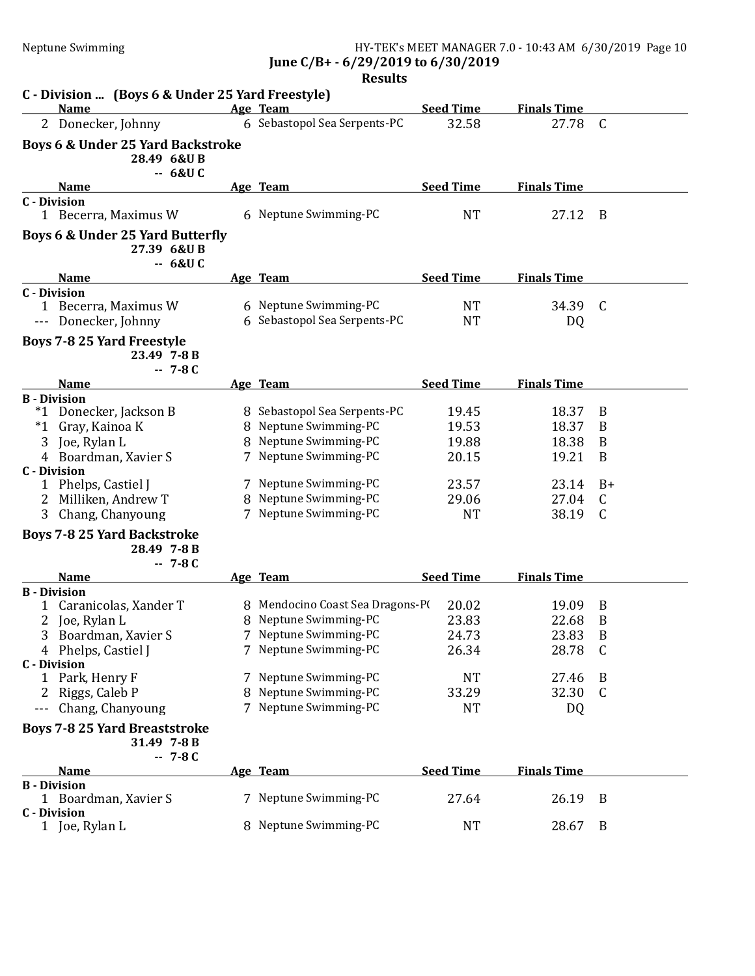Neptune Swimming HY-TEK's MEET MANAGER 7.0 - 10:43 AM 6/30/2019 Page 10 June C/B+ - 6/29/2019 to 6/30/2019

|                     | C - Division  (Boys 6 & Under 25 Yard Freestyle)                 |          |                                                       |                           |                             |                  |
|---------------------|------------------------------------------------------------------|----------|-------------------------------------------------------|---------------------------|-----------------------------|------------------|
|                     | <b>Name</b><br>2 Donecker, Johnny                                |          | Age Team<br>6 Sebastopol Sea Serpents-PC              | <b>Seed Time</b><br>32.58 | <b>Finals Time</b><br>27.78 | $\mathsf{C}$     |
|                     |                                                                  |          |                                                       |                           |                             |                  |
|                     | <b>Boys 6 &amp; Under 25 Yard Backstroke</b><br>28.49 6&UB       | $-6&U$ C |                                                       |                           |                             |                  |
|                     | <b>Name</b>                                                      |          | Age Team                                              | <b>Seed Time</b>          | <b>Finals Time</b>          |                  |
| <b>C</b> - Division | 1 Becerra, Maximus W                                             |          | 6 Neptune Swimming-PC                                 | <b>NT</b>                 | 27.12                       | B                |
|                     | Boys 6 & Under 25 Yard Butterfly<br>27.39 6&UB                   | $-6&U$ C |                                                       |                           |                             |                  |
|                     | <b>Name</b>                                                      |          | Age Team                                              | <b>Seed Time</b>          | <b>Finals Time</b>          |                  |
| <b>C</b> - Division | 1 Becerra, Maximus W<br>--- Donecker, Johnny                     |          | 6 Neptune Swimming-PC<br>6 Sebastopol Sea Serpents-PC | <b>NT</b><br><b>NT</b>    | 34.39<br>DQ                 | $\mathsf{C}$     |
|                     | <b>Boys 7-8 25 Yard Freestyle</b><br>23.49 7-8 B<br>$-7 - 8C$    |          |                                                       |                           |                             |                  |
|                     | <b>Name</b>                                                      |          | Age Team                                              | <b>Seed Time</b>          | <b>Finals Time</b>          |                  |
|                     | <b>B</b> - Division                                              |          |                                                       |                           |                             |                  |
|                     | *1 Donecker, Jackson B                                           |          | 8 Sebastopol Sea Serpents-PC                          | 19.45                     | 18.37                       | B                |
| $^*1$               | Gray, Kainoa K                                                   |          | 8 Neptune Swimming-PC                                 | 19.53                     | 18.37                       | B                |
| 3                   | Joe, Rylan L                                                     |          | 8 Neptune Swimming-PC                                 | 19.88                     | 18.38                       | B                |
|                     | 4 Boardman, Xavier S                                             |          | 7 Neptune Swimming-PC                                 | 20.15                     | 19.21                       | B                |
| <b>C</b> - Division |                                                                  |          |                                                       |                           |                             |                  |
|                     | 1 Phelps, Castiel J                                              |          | 7 Neptune Swimming-PC                                 | 23.57                     | 23.14                       | B+               |
| 2                   | Milliken, Andrew T                                               |          | 8 Neptune Swimming-PC                                 | 29.06                     | 27.04                       | C                |
| 3                   | Chang, Chanyoung                                                 |          | 7 Neptune Swimming-PC                                 | <b>NT</b>                 | 38.19                       | C                |
|                     | <b>Boys 7-8 25 Yard Backstroke</b><br>28.49 7-8 B<br>$-7 - 8C$   |          |                                                       |                           |                             |                  |
|                     | <b>Name</b>                                                      |          | Age Team                                              | <b>Seed Time</b>          | <b>Finals Time</b>          |                  |
| <b>B</b> - Division |                                                                  |          |                                                       |                           |                             |                  |
|                     | Caranicolas, Xander T                                            |          | 8 Mendocino Coast Sea Dragons-PO                      | 20.02                     | 19.09                       | B                |
|                     | Joe, Rylan L                                                     |          | 8 Neptune Swimming-PC                                 | 23.83                     | 22.68                       | B                |
|                     | 3 Boardman, Xavier S                                             |          | 7 Neptune Swimming-PC                                 | 24.73                     | 23.83                       | $\boldsymbol{B}$ |
| 4                   | Phelps, Castiel J                                                |          | 7 Neptune Swimming-PC                                 | 26.34                     | 28.78                       | C                |
| <b>C</b> - Division |                                                                  |          |                                                       |                           |                             |                  |
|                     | 1 Park, Henry F                                                  |          | 7 Neptune Swimming-PC                                 | <b>NT</b>                 | 27.46                       | B                |
| 2                   | Riggs, Caleb P                                                   |          | 8 Neptune Swimming-PC                                 | 33.29                     | 32.30                       | C                |
|                     | Chang, Chanyoung                                                 |          | 7 Neptune Swimming-PC                                 | <b>NT</b>                 | DQ                          |                  |
|                     | <b>Boys 7-8 25 Yard Breaststroke</b><br>31.49 7-8 B<br>$-7 - 8C$ |          |                                                       |                           |                             |                  |
|                     | <b>Name</b>                                                      |          | Age Team                                              | <b>Seed Time</b>          | <b>Finals Time</b>          |                  |
| <b>B</b> - Division |                                                                  |          |                                                       |                           |                             |                  |
|                     | 1 Boardman, Xavier S                                             |          | 7 Neptune Swimming-PC                                 | 27.64                     | 26.19                       | B                |
| <b>C</b> - Division | 1 Joe, Rylan L                                                   |          | 8 Neptune Swimming-PC                                 | <b>NT</b>                 | 28.67                       | B                |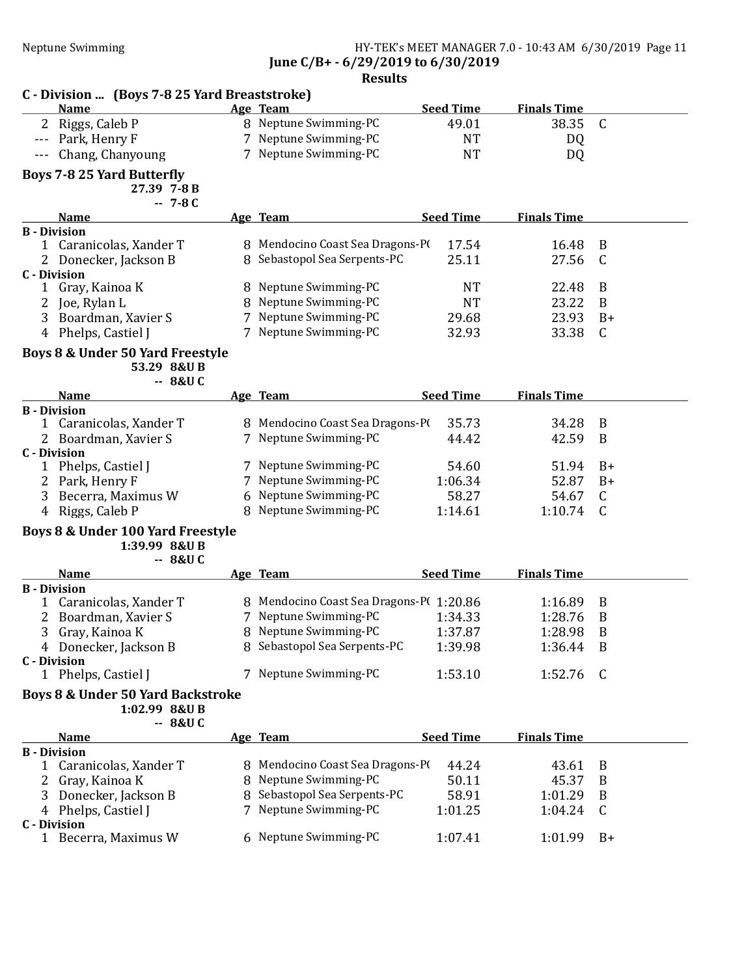# Neptune Swimming HY-TEK's MEET MANAGER 7.0 - 10:43 AM 6/30/2019 Page 11 June C/B+ - 6/29/2019 to 6/30/2019

|                     | C - Division  (Boys 7-8 25 Yard Breaststroke)                       |   |                                                |                  |                    |              |
|---------------------|---------------------------------------------------------------------|---|------------------------------------------------|------------------|--------------------|--------------|
|                     | <b>Name</b>                                                         |   | Age Team                                       | <b>Seed Time</b> | <b>Finals Time</b> |              |
| 2                   | Riggs, Caleb P                                                      |   | 8 Neptune Swimming-PC                          | 49.01            | 38.35              | $\mathsf{C}$ |
|                     | Park, Henry F                                                       |   | 7 Neptune Swimming-PC                          | <b>NT</b>        | DQ                 |              |
|                     | Chang, Chanyoung                                                    |   | 7 Neptune Swimming-PC                          | <b>NT</b>        | DQ                 |              |
|                     | <b>Boys 7-8 25 Yard Butterfly</b><br>27.39 7-8 B<br>$-7 - 8C$       |   |                                                |                  |                    |              |
|                     | <b>Name</b>                                                         |   | Age Team                                       | <b>Seed Time</b> | <b>Finals Time</b> |              |
|                     | <b>B</b> - Division                                                 |   |                                                |                  |                    |              |
| $\mathbf{1}$        | Caranicolas, Xander T                                               |   | 8 Mendocino Coast Sea Dragons-PI               | 17.54            | 16.48              | B            |
| 2                   | Donecker, Jackson B                                                 |   | 8 Sebastopol Sea Serpents-PC                   | 25.11            | 27.56              | C            |
| <b>C</b> - Division |                                                                     |   |                                                |                  |                    |              |
| 1                   | Gray, Kainoa K                                                      |   | 8 Neptune Swimming-PC                          | <b>NT</b>        | 22.48              | B            |
|                     | Joe, Rylan L                                                        |   | 8 Neptune Swimming-PC                          | <b>NT</b>        | 23.22              | B            |
| 3                   | Boardman, Xavier S                                                  |   | 7 Neptune Swimming-PC                          | 29.68            | 23.93              | $B+$         |
| 4                   | Phelps, Castiel J                                                   |   | 7 Neptune Swimming-PC                          | 32.93            | 33.38              | C            |
|                     | Boys 8 & Under 50 Yard Freestyle<br>53.29 8&U B<br>$-8&U$ C         |   |                                                |                  |                    |              |
|                     | <b>Name</b>                                                         |   | Age Team                                       | <b>Seed Time</b> | <b>Finals Time</b> |              |
|                     | <b>B</b> - Division                                                 |   |                                                |                  |                    |              |
| $\mathbf{1}$        | Caranicolas, Xander T                                               |   | 8 Mendocino Coast Sea Dragons-PI               | 35.73            | 34.28              | B            |
|                     | 2 Boardman, Xavier S                                                |   | 7 Neptune Swimming-PC                          | 44.42            | 42.59              | B            |
|                     | <b>C</b> - Division                                                 |   |                                                |                  |                    |              |
|                     | 1 Phelps, Castiel J                                                 |   | 7 Neptune Swimming-PC<br>7 Neptune Swimming-PC | 54.60            | 51.94              | $B+$         |
| 2                   | Park, Henry F                                                       |   |                                                | 1:06.34          | 52.87              | $B+$         |
| 3                   | Becerra, Maximus W                                                  |   | 6 Neptune Swimming-PC                          | 58.27            | 54.67              | C            |
| 4                   | Riggs, Caleb P                                                      |   | 8 Neptune Swimming-PC                          | 1:14.61          | 1:10.74            | C            |
|                     | Boys 8 & Under 100 Yard Freestyle<br>1:39.99 8&U B<br>8&U C<br>۰.   |   |                                                |                  |                    |              |
|                     | <b>Name</b>                                                         |   | Age Team                                       | <b>Seed Time</b> | <b>Finals Time</b> |              |
|                     | <b>B</b> - Division                                                 |   |                                                |                  |                    |              |
| 1                   | Caranicolas, Xander T                                               |   | 8 Mendocino Coast Sea Dragons-PI 1:20.86       |                  | 1:16.89            | B            |
| 2                   | Boardman, Xavier S                                                  | 7 | Neptune Swimming-PC                            | 1:34.33          | 1:28.76            | B            |
| 3                   | Gray, Kainoa K                                                      |   | 8 Neptune Swimming-PC                          | 1:37.87          | 1:28.98            | B            |
|                     | 4 Donecker, Jackson B                                               |   | 8 Sebastopol Sea Serpents-PC                   | 1:39.98          | 1:36.44            | B            |
| <b>C</b> - Division |                                                                     |   |                                                |                  |                    |              |
|                     | 1 Phelps, Castiel J<br><b>Boys 8 &amp; Under 50 Yard Backstroke</b> |   | 7 Neptune Swimming-PC                          | 1:53.10          | 1:52.76            | C            |
|                     | 1:02.99 8&U B<br>$-8&U$ C                                           |   |                                                |                  |                    |              |
|                     | <b>Name</b>                                                         |   | Age Team                                       | <b>Seed Time</b> | <b>Finals Time</b> |              |
|                     | <b>B</b> - Division                                                 |   |                                                |                  |                    |              |
| 1                   | Caranicolas, Xander T                                               |   | 8 Mendocino Coast Sea Dragons-PI               | 44.24            | 43.61              | B            |
| 2                   | Gray, Kainoa K                                                      |   | 8 Neptune Swimming-PC                          | 50.11            | 45.37              | B            |
| 3                   | Donecker, Jackson B                                                 |   | 8 Sebastopol Sea Serpents-PC                   | 58.91            | 1:01.29            | B            |
|                     | 4 Phelps, Castiel J                                                 |   | 7 Neptune Swimming-PC                          | 1:01.25          | 1:04.24            | C            |
|                     | <b>C</b> - Division                                                 |   | 6 Neptune Swimming-PC                          | 1:07.41          | 1:01.99            | $B+$         |
|                     | 1 Becerra, Maximus W                                                |   |                                                |                  |                    |              |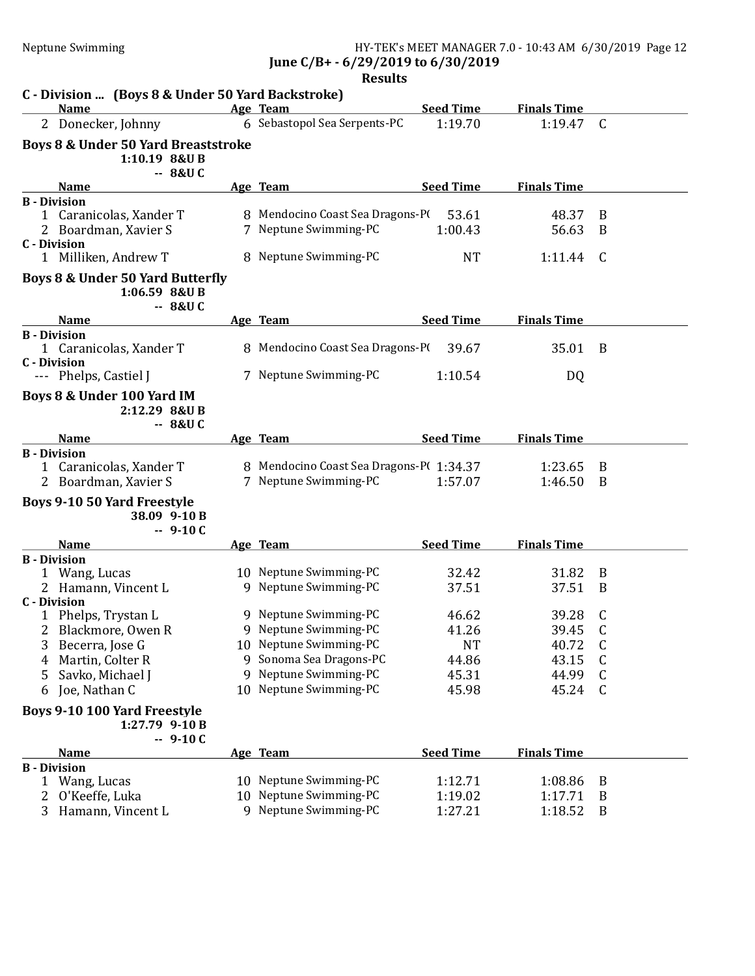Neptune Swimming HY-TEK's MEET MANAGER 7.0 - 10:43 AM 6/30/2019 Page 12 June C/B+ - 6/29/2019 to 6/30/2019

|                     | C - Division  (Boys 8 & Under 50 Yard Backstroke)                                            |                                                                                    |                               |                           |              |
|---------------------|----------------------------------------------------------------------------------------------|------------------------------------------------------------------------------------|-------------------------------|---------------------------|--------------|
|                     | <b>Name</b>                                                                                  | Age Team                                                                           | <b>Seed Time</b>              | <b>Finals Time</b>        |              |
|                     | 2 Donecker, Johnny                                                                           | 6 Sebastopol Sea Serpents-PC                                                       | 1:19.70                       | 1:19.47                   | $\mathsf{C}$ |
|                     | <b>Boys 8 &amp; Under 50 Yard Breaststroke</b><br>1:10.19 8&U B<br>-- 8&U C                  |                                                                                    |                               |                           |              |
|                     | <b>Name</b>                                                                                  | Age Team                                                                           | <b>Seed Time</b>              | <b>Finals Time</b>        |              |
| <b>C</b> - Division | <b>B</b> - Division<br>1 Caranicolas, Xander T<br>Boardman, Xavier S<br>1 Milliken, Andrew T | 8 Mendocino Coast Sea Dragons-PO<br>7 Neptune Swimming-PC<br>8 Neptune Swimming-PC | 53.61<br>1:00.43<br><b>NT</b> | 48.37<br>56.63<br>1:11.44 | B<br>B<br>C  |
|                     | Boys 8 & Under 50 Yard Butterfly<br>1:06.59 8&U B<br>$-8&U$ C                                |                                                                                    |                               |                           |              |
|                     | <b>Name</b>                                                                                  | Age Team                                                                           | <b>Seed Time</b>              | <b>Finals Time</b>        |              |
|                     | <b>B</b> - Division<br>1 Caranicolas, Xander T<br><b>C</b> - Division                        | 8 Mendocino Coast Sea Dragons-PI                                                   | 39.67                         | 35.01                     | B            |
|                     | --- Phelps, Castiel J                                                                        | 7 Neptune Swimming-PC                                                              | 1:10.54                       | DQ                        |              |
|                     | Boys 8 & Under 100 Yard IM<br>2:12.29 8&U B<br>$-8&U$ C                                      |                                                                                    |                               |                           |              |
|                     | <b>Name</b>                                                                                  | Age Team                                                                           | <b>Seed Time</b>              | <b>Finals Time</b>        |              |
| 1<br>2              | <b>B</b> - Division<br>Caranicolas, Xander T<br>Boardman, Xavier S                           | 8 Mendocino Coast Sea Dragons-P(1:34.37<br>7 Neptune Swimming-PC                   | 1:57.07                       | 1:23.65<br>1:46.50        | B<br>B       |
|                     | <b>Boys 9-10 50 Yard Freestyle</b><br>38.09 9-10 B<br>$-9-10C$                               |                                                                                    |                               |                           |              |
|                     | <b>Name</b>                                                                                  | Age Team                                                                           | <b>Seed Time</b>              | <b>Finals Time</b>        |              |
| 2                   | <b>B</b> - Division<br>1 Wang, Lucas<br>Hamann, Vincent L                                    | 10 Neptune Swimming-PC<br>9 Neptune Swimming-PC                                    | 32.42<br>37.51                | 31.82<br>37.51            | B<br>B       |
|                     | <b>C</b> - Division<br>Phelps, Trystan L                                                     | 9 Neptune Swimming-PC                                                              | 46.62                         | 39.28                     | C            |
|                     | Blackmore, Owen R                                                                            | 9 Neptune Swimming-PC                                                              | 41.26                         | 39.45                     | C            |
|                     |                                                                                              |                                                                                    |                               |                           |              |
| 3                   | Becerra, Jose G                                                                              | 10 Neptune Swimming-PC                                                             | NT                            | 40.72                     | C            |
| 4                   | Martin, Colter R                                                                             | 9 Sonoma Sea Dragons-PC                                                            | 44.86                         | 43.15                     | C            |
| 5                   | Savko, Michael J                                                                             | 9 Neptune Swimming-PC                                                              | 45.31                         | 44.99                     | C            |
| 6                   | Joe, Nathan C                                                                                | 10 Neptune Swimming-PC                                                             | 45.98                         | 45.24                     | C            |
|                     | Boys 9-10 100 Yard Freestyle<br>1:27.79 9-10 B                                               |                                                                                    |                               |                           |              |
|                     | $-9-10C$<br><b>Name</b>                                                                      | Age Team                                                                           | <b>Seed Time</b>              | <b>Finals Time</b>        |              |
|                     | <b>B</b> - Division                                                                          |                                                                                    |                               |                           |              |
|                     | 1 Wang, Lucas                                                                                | 10 Neptune Swimming-PC                                                             | 1:12.71                       | 1:08.86                   | B            |
| 2<br>3              | O'Keeffe, Luka<br>Hamann, Vincent L                                                          | 10 Neptune Swimming-PC<br>9 Neptune Swimming-PC                                    | 1:19.02<br>1:27.21            | 1:17.71<br>1:18.52        | B<br>B       |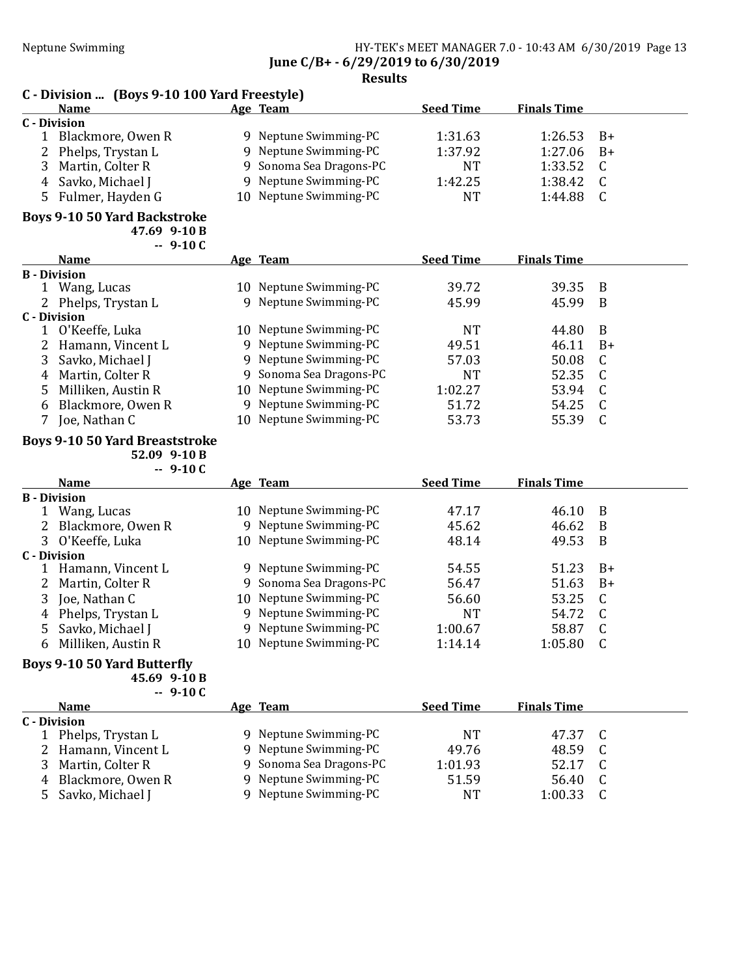### Neptune Swimming HY-TEK's MEET MANAGER 7.0 - 10:43 AM 6/30/2019 Page 13 June C/B+ - 6/29/2019 to 6/30/2019

### Results

# C - Division ... (Boys 9-10 100 Yard Freestyle)

|              | <b>Name</b>         | Age Team                | <b>Seed Time</b> | <b>Finals Time</b> |      |
|--------------|---------------------|-------------------------|------------------|--------------------|------|
| C - Division |                     |                         |                  |                    |      |
|              | Blackmore, Owen R   | 9 Neptune Swimming-PC   | 1:31.63          | 1:26.53            | $B+$ |
|              | 2 Phelps, Trystan L | 9 Neptune Swimming-PC   | 1:37.92          | 1:27.06            | $B+$ |
|              | 3 Martin, Colter R  | 9 Sonoma Sea Dragons-PC | NT               | $1:33.52$ C        |      |
|              | 4 Savko, Michael J  | 9 Neptune Swimming-PC   | 1:42.25          | 1:38.42 C          |      |
|              | 5 Fulmer, Hayden G  | 10 Neptune Swimming-PC  | NT               | 1:44.88            |      |

### Boys 9-10 50 Yard Backstroke

47.69 9-10 B

|                     | $-9-10C$           |     |                         |                  |                    |      |
|---------------------|--------------------|-----|-------------------------|------------------|--------------------|------|
|                     | <b>Name</b>        |     | Age Team                | <b>Seed Time</b> | <b>Finals Time</b> |      |
| <b>B</b> - Division |                    |     |                         |                  |                    |      |
|                     | Wang, Lucas        | 10. | Neptune Swimming-PC     | 39.72            | 39.35              | - B  |
| 2                   | Phelps, Trystan L  |     | 9 Neptune Swimming-PC   | 45.99            | 45.99              | - B  |
| C - Division        |                    |     |                         |                  |                    |      |
|                     | O'Keeffe, Luka     | 10. | Neptune Swimming-PC     | NT               | 44.80              | B    |
|                     | Hamann, Vincent L  |     | 9 Neptune Swimming-PC   | 49.51            | 46.11              | $B+$ |
|                     | Savko, Michael J   |     | 9 Neptune Swimming-PC   | 57.03            | 50.08              | C.   |
| 4                   | Martin, Colter R   |     | 9 Sonoma Sea Dragons-PC | NT               | 52.35              | -C   |
|                     | Milliken, Austin R |     | 10 Neptune Swimming-PC  | 1:02.27          | 53.94              | -C   |
| 6                   | Blackmore, Owen R  | 9   | Neptune Swimming-PC     | 51.72            | 54.25              | -C   |
|                     | Joe, Nathan C      | 10  | Neptune Swimming-PC     | 53.73            | 55.39              |      |

# Boys 9-10 50 Yard Breaststroke

52.09 9-10 B  $-9-10C$ 

|              | ノエリ し               |     |                         |                  |                    |      |
|--------------|---------------------|-----|-------------------------|------------------|--------------------|------|
|              | <b>Name</b>         |     | Age Team                | <b>Seed Time</b> | <b>Finals Time</b> |      |
|              | <b>B</b> - Division |     |                         |                  |                    |      |
|              | Wang, Lucas         | 10. | Neptune Swimming-PC     | 47.17            | 46.10              | B    |
|              | 2 Blackmore, Owen R |     | 9 Neptune Swimming-PC   | 45.62            | 46.62              | B    |
|              | 3 O'Keeffe, Luka    |     | 10 Neptune Swimming-PC  | 48.14            | 49.53              | B    |
| C - Division |                     |     |                         |                  |                    |      |
|              | Hamann, Vincent L   |     | 9 Neptune Swimming-PC   | 54.55            | 51.23              | $B+$ |
|              | 2 Martin, Colter R  |     | 9 Sonoma Sea Dragons-PC | 56.47            | 51.63              | $B+$ |
|              | 3 Joe, Nathan C     |     | 10 Neptune Swimming-PC  | 56.60            | 53.25              | C    |
|              | 4 Phelps, Trystan L |     | 9 Neptune Swimming-PC   | NT               | 54.72              |      |
|              | 5 Savko, Michael J  |     | 9 Neptune Swimming-PC   | 1:00.67          | 58.87              | C    |
| 6            | Milliken, Austin R  |     | 10 Neptune Swimming-PC  | 1:14.14          | 1:05.80            | C    |
|              |                     |     |                         |                  |                    |      |

#### Boys 9-10 50 Yard Butterfly 45.69 9-10 B

 $-9-10C$ 

|              | <b>Name</b>         | Age Team                | <b>Seed Time</b> | <b>Finals Time</b> |  |
|--------------|---------------------|-------------------------|------------------|--------------------|--|
| C - Division |                     |                         |                  |                    |  |
|              | Phelps, Trystan L   | 9 Neptune Swimming-PC   | NT               | 47.37              |  |
|              | 2 Hamann, Vincent L | 9 Neptune Swimming-PC   | 49.76            | 48.59              |  |
| 3            | Martin, Colter R    | 9 Sonoma Sea Dragons-PC | 1:01.93          | 52.17              |  |
| 4            | Blackmore, Owen R   | 9 Neptune Swimming-PC   | 51.59            | 56.40              |  |
| 5.           | Savko, Michael J    | 9 Neptune Swimming-PC   | <b>NT</b>        | 1:00.33            |  |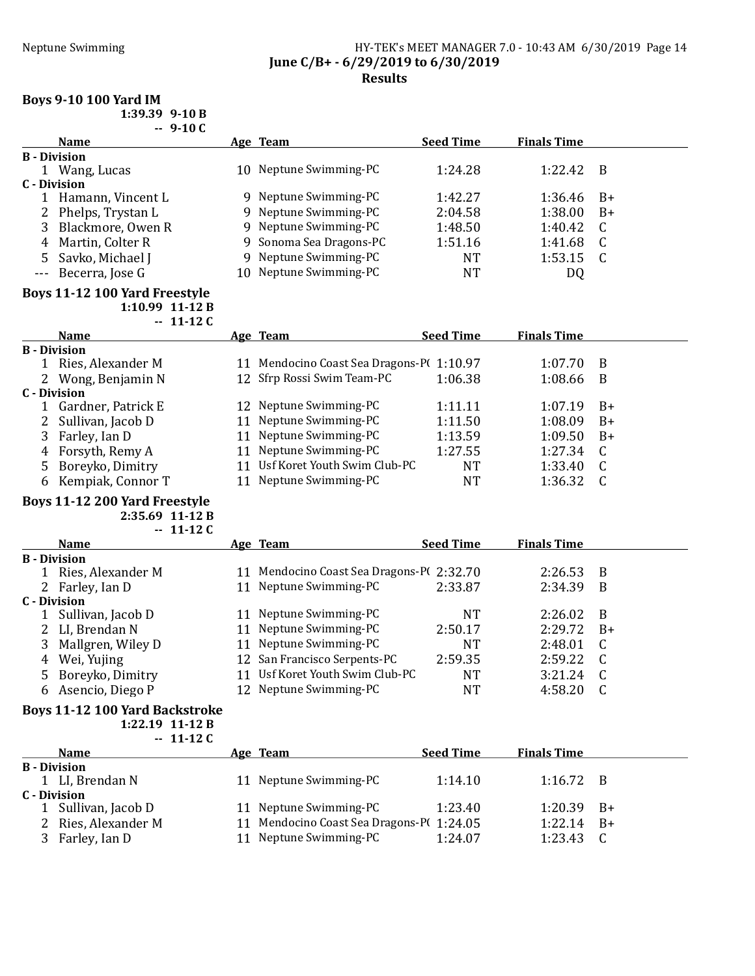### Neptune Swimming HY-TEK's MEET MANAGER 7.0 - 10:43 AM 6/30/2019 Page 14 June C/B+ - 6/29/2019 to 6/30/2019 Results

#### Boys 9-10 100 Yard IM  $1.39.39$  9-10 B

| 1:39.39 9-10. |              |  |
|---------------|--------------|--|
|               | <u>Ω 1Ω.</u> |  |

|   | $-9-10C$            |                         |                  |                    |      |
|---|---------------------|-------------------------|------------------|--------------------|------|
|   | <b>Name</b>         | Age Team                | <b>Seed Time</b> | <b>Finals Time</b> |      |
|   | <b>B</b> - Division |                         |                  |                    |      |
|   | Wang, Lucas         | 10 Neptune Swimming-PC  | 1:24.28          | 1:22.42            | B    |
|   | C - Division        |                         |                  |                    |      |
|   | Hamann, Vincent L   | 9 Neptune Swimming-PC   | 1:42.27          | 1:36.46            | $B+$ |
|   | 2 Phelps, Trystan L | 9 Neptune Swimming-PC   | 2:04.58          | 1:38.00            | B+   |
|   | Blackmore, Owen R   | 9 Neptune Swimming-PC   | 1:48.50          | 1:40.42            |      |
| 4 | Martin, Colter R    | 9 Sonoma Sea Dragons-PC | 1:51.16          | 1:41.68            |      |
|   | 5 Savko, Michael J  | 9 Neptune Swimming-PC   | NT               | 1:53.15            |      |
|   | --- Becerra, Jose G | 10 Neptune Swimming-PC  | NT               | DQ                 |      |

#### Boys 11-12 100 Yard Freestyle 1:10.99 11-12 B

|                     | $-11-12C$           |                                          |                  |                    |      |
|---------------------|---------------------|------------------------------------------|------------------|--------------------|------|
|                     | <b>Name</b>         | Age Team                                 | <b>Seed Time</b> | <b>Finals Time</b> |      |
| <b>B</b> - Division |                     |                                          |                  |                    |      |
|                     | Ries, Alexander M   | 11 Mendocino Coast Sea Dragons-P(1:10.97 |                  | 1:07.70            | B    |
|                     | 2 Wong, Benjamin N  | 12 Sfrp Rossi Swim Team-PC               | 1:06.38          | 1:08.66            | B    |
| C - Division        |                     |                                          |                  |                    |      |
|                     | Gardner, Patrick E  | 12 Neptune Swimming-PC                   | 1:11.11          | 1:07.19            | $B+$ |
|                     | 2 Sullivan, Jacob D | 11 Neptune Swimming-PC                   | 1:11.50          | 1:08.09            | $B+$ |
| 3                   | Farley, Ian D       | 11 Neptune Swimming-PC                   | 1:13.59          | 1:09.50            | $B+$ |
| 4                   | Forsyth, Remy A     | 11 Neptune Swimming-PC                   | 1:27.55          | 1:27.34            | C    |
| 5.                  | Boreyko, Dimitry    | 11 Usf Koret Youth Swim Club-PC          | NT               | 1:33.40            | C    |
| 6                   | Kempiak, Connor T   | Neptune Swimming-PC                      | NT               | 1:36.32            |      |

### Boys 11-12 200 Yard Freestyle

2:35.69 11-12 B  $-11-12C$ 

|   | <b>Name</b>         |    | Age Team                               | <b>Seed Time</b> | <b>Finals Time</b> |      |
|---|---------------------|----|----------------------------------------|------------------|--------------------|------|
|   | <b>B</b> - Division |    |                                        |                  |                    |      |
|   | Ries, Alexander M   | 11 | Mendocino Coast Sea Dragons-PC 2:32.70 |                  | 2:26.53            | - B  |
|   | 2 Farley, Ian D     |    | 11 Neptune Swimming-PC                 | 2:33.87          | 2:34.39            | - B  |
|   | C - Division        |    |                                        |                  |                    |      |
|   | 1 Sullivan, Jacob D | 11 | Neptune Swimming-PC                    | NT               | 2:26.02            | - B  |
|   | 2 LI, Brendan N     |    | 11 Neptune Swimming-PC                 | 2:50.17          | 2:29.72            | $B+$ |
|   | 3 Mallgren, Wiley D |    | 11 Neptune Swimming-PC                 | NT               | 2:48.01            |      |
| 4 | Wei, Yujing         |    | 12 San Francisco Serpents-PC           | 2:59.35          | 2:59.22            |      |
|   | 5 Boreyko, Dimitry  |    | 11 Usf Koret Youth Swim Club-PC        | NT               | 3:21.24            | - C  |
| 6 | Asencio, Diego P    |    | 12 Neptune Swimming-PC                 | NT               | 4:58.20            |      |
|   |                     |    |                                        |                  |                    |      |

#### Boys 11-12 100 Yard Backstroke 1:22.19 11-12 B

 $-11-12C$ 

|                     | <b>Name</b>         | Age Team                                 | <b>Seed Time</b> | <b>Finals Time</b> |      |
|---------------------|---------------------|------------------------------------------|------------------|--------------------|------|
| <b>B</b> - Division |                     |                                          |                  |                    |      |
|                     | 1 LI, Brendan N     | 11 Neptune Swimming-PC                   | 1:14.10          | $1:16.72 \quad B$  |      |
| C - Division        |                     |                                          |                  |                    |      |
|                     | 1 Sullivan, Jacob D | 11 Neptune Swimming-PC                   | 1:23.40          | 1:20.39            | - B+ |
|                     | 2 Ries, Alexander M | 11 Mendocino Coast Sea Dragons-P(1:24.05 |                  | 1:22.14            | $B+$ |
|                     | Farley, Ian D       | 11 Neptune Swimming-PC                   | 1:24.07          | 1:23.43            |      |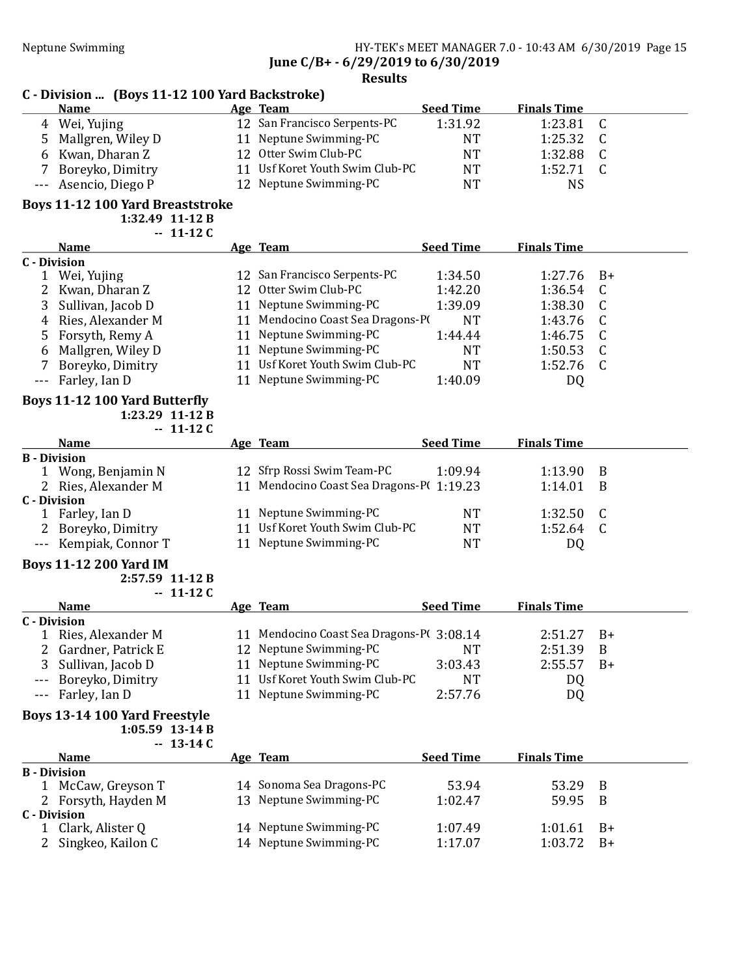# Neptune Swimming HY-TEK's MEET MANAGER 7.0 - 10:43 AM 6/30/2019 Page 15 June C/B+ - 6/29/2019 to 6/30/2019

# Results

|         | C - Division  (Boys 11-12 100 Yard Backstroke) |    |                                   |                  |                    |      |  |  |  |
|---------|------------------------------------------------|----|-----------------------------------|------------------|--------------------|------|--|--|--|
|         | <b>Name</b>                                    |    | Age Team                          | <b>Seed Time</b> | <b>Finals Time</b> |      |  |  |  |
| 4       | Wei, Yujing                                    |    | 12 San Francisco Serpents-PC      | 1:31.92          | 1:23.81            | C    |  |  |  |
| 5       | Mallgren, Wiley D                              |    | 11 Neptune Swimming-PC            | <b>NT</b>        | 1:25.32            |      |  |  |  |
| 6       | Kwan, Dharan Z                                 |    | 12 Otter Swim Club-PC             | NT               | 1:32.88            | C    |  |  |  |
|         | Boreyko, Dimitry                               |    | 11 Usf Koret Youth Swim Club-PC   | NT               | 1:52.71            | C    |  |  |  |
| $- - -$ | Asencio, Diego P                               |    | 12 Neptune Swimming-PC            | NT               | <b>NS</b>          |      |  |  |  |
|         | <b>Boys 11-12 100 Yard Breaststroke</b>        |    |                                   |                  |                    |      |  |  |  |
|         | $1:32.49$ 11-12 B                              |    |                                   |                  |                    |      |  |  |  |
|         | $-11-12C$                                      |    |                                   |                  |                    |      |  |  |  |
|         |                                                |    |                                   |                  |                    |      |  |  |  |
|         | <b>Name</b>                                    |    | Age Team                          | <b>Seed Time</b> | <b>Finals Time</b> |      |  |  |  |
|         | <b>C</b> - Division                            |    |                                   |                  |                    |      |  |  |  |
|         | Wei, Yujing                                    |    | 12 San Francisco Serpents-PC      | 1:34.50          | 1:27.76            | $B+$ |  |  |  |
|         | Kwan, Dharan Z                                 | 12 | Otter Swim Club-PC                | 1:42.20          | 1:36.54            | C    |  |  |  |
| 3       | Sullivan, Jacob D                              |    | 11 Neptune Swimming-PC            | 1:39.09          | 1:38.30            | C    |  |  |  |
| 4       | Ries, Alexander M                              |    | 11 Mendocino Coast Sea Dragons-PO | <b>NT</b>        | 1:43.76            | C    |  |  |  |
| 5.      | Forsyth, Remy A                                |    | 11 Neptune Swimming-PC            | 1:44.44          | 1:46.75            | C    |  |  |  |
| 6       | Mallgren, Wiley D                              |    | 11 Neptune Swimming-PC            | NT               | 1:50.53            | C    |  |  |  |
|         | Boreyko, Dimitry                               | 11 | Usf Koret Youth Swim Club-PC      | NT               | 1:52.76            | C    |  |  |  |

# Boys 11-12 100 Yard Butterfly

1:23.29 11-12 B  $-11-12C$ 

|              | <b>Name</b>           |    | Age Team                                 | <b>Seed Time</b> | <b>Finals Time</b> |    |
|--------------|-----------------------|----|------------------------------------------|------------------|--------------------|----|
|              | <b>B</b> - Division   |    |                                          |                  |                    |    |
|              | Wong, Benjamin N      |    | 12 Sfrp Rossi Swim Team-PC               | 1:09.94          | 1:13.90            | -B |
|              | 2 Ries, Alexander M   |    | 11 Mendocino Coast Sea Dragons-P(1:19.23 |                  | 1:14.01            | B  |
| C - Division |                       |    |                                          |                  |                    |    |
|              | Farley, Ian D         |    | 11 Neptune Swimming-PC                   | NT               | 1:32.50            | C. |
|              | 2 Boreyko, Dimitry    | 11 | Usf Koret Youth Swim Club-PC             | NT               | 1:52.64            |    |
|              | --- Kempiak, Connor T |    | 11 Neptune Swimming-PC                   | <b>NT</b>        | DQ                 |    |

### Boys 11-12 200 Yard IM

2:57.59 11-12 B  $-11-12C$ 

|              | <b>Name</b>          | Age Team                                 | <b>Seed Time</b> | <b>Finals Time</b> |      |
|--------------|----------------------|------------------------------------------|------------------|--------------------|------|
| C - Division |                      |                                          |                  |                    |      |
|              | Ries, Alexander M    | 11 Mendocino Coast Sea Dragons-P(3:08.14 |                  | 2:51.27            | $B+$ |
|              | 2 Gardner, Patrick E | 12 Neptune Swimming-PC                   | NT               | 2:51.39            | B    |
|              | 3 Sullivan, Jacob D  | 11 Neptune Swimming-PC                   | 3:03.43          | 2:55.57            | $B+$ |
|              | --- Boreyko, Dimitry | 11 Usf Koret Youth Swim Club-PC          | NT               | DQ                 |      |
|              | --- Farley, Ian D    | 11 Neptune Swimming-PC                   | 2:57.76          | DQ                 |      |

# Boys 13-14 100 Yard Freestyle

1:05.59 13-14 B  $-13-14C$ 

|              | Name                | <u>Age Team</u>          | <b>Seed Time</b> | <b>Finals Time</b> |      |
|--------------|---------------------|--------------------------|------------------|--------------------|------|
|              | <b>B</b> - Division |                          |                  |                    |      |
|              | McCaw, Greyson T    | 14 Sonoma Sea Dragons-PC | 53.94            | 53.29              | - B  |
|              | 2 Forsyth, Hayden M | 13 Neptune Swimming-PC   | 1:02.47          | 59.95              | - B  |
| C - Division |                     |                          |                  |                    |      |
|              | Clark, Alister Q    | 14 Neptune Swimming-PC   | 1:07.49          | 1:01.61            | $B+$ |
|              | Singkeo, Kailon C   | 14 Neptune Swimming-PC   | 1:17.07          | 1:03.72            | $B+$ |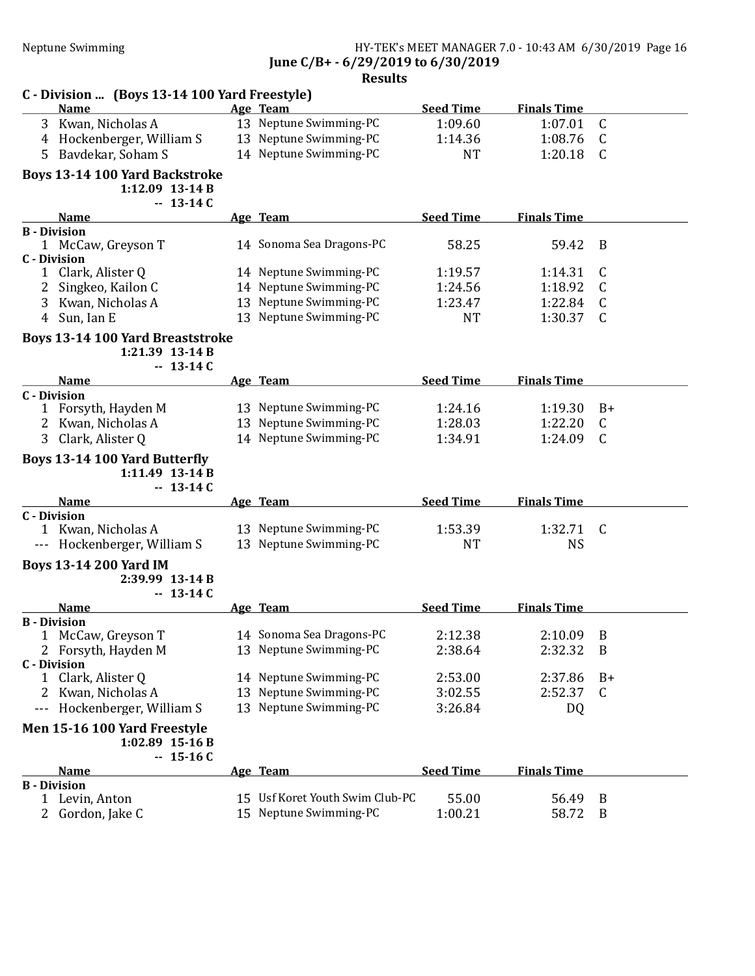# Neptune Swimming HY-TEK's MEET MANAGER 7.0 - 10:43 AM 6/30/2019 Page 16 June C/B+ - 6/29/2019 to 6/30/2019

| C - Division  (Boys 13-14 100 Yard Freestyle)                                   |                                                  |                      |                      |           |
|---------------------------------------------------------------------------------|--------------------------------------------------|----------------------|----------------------|-----------|
| <b>Name</b>                                                                     | Age Team                                         | <b>Seed Time</b>     | <b>Finals Time</b>   |           |
| 3 Kwan, Nicholas A                                                              | 13 Neptune Swimming-PC                           | 1:09.60              | 1:07.01              | C         |
| 4 Hockenberger, William S                                                       | 13 Neptune Swimming-PC                           | 1:14.36              | 1:08.76              | C         |
| Bavdekar, Soham S<br>5.                                                         | 14 Neptune Swimming-PC                           | <b>NT</b>            | 1:20.18              | C         |
| <b>Boys 13-14 100 Yard Backstroke</b><br>1:12.09 13-14 B<br>$-13-14C$           |                                                  |                      |                      |           |
| <b>Name</b>                                                                     | Age Team                                         | <b>Seed Time</b>     | <b>Finals Time</b>   |           |
| <b>B</b> - Division<br>1 McCaw, Greyson T<br><b>C</b> - Division                | 14 Sonoma Sea Dragons-PC                         | 58.25                | 59.42                | B         |
| Clark, Alister Q<br>1                                                           | 14 Neptune Swimming-PC                           | 1:19.57              | 1:14.31              | C         |
| Singkeo, Kailon C                                                               | 14 Neptune Swimming-PC                           | 1:24.56              | 1:18.92              | C         |
| 3 Kwan, Nicholas A                                                              | 13 Neptune Swimming-PC                           | 1:23.47              | 1:22.84              | C         |
| Sun, Ian E<br>4                                                                 | 13 Neptune Swimming-PC                           | <b>NT</b>            | 1:30.37              | C         |
|                                                                                 |                                                  |                      |                      |           |
| <b>Boys 13-14 100 Yard Breaststroke</b><br>1:21.39 13-14 B<br>$-13-14C$         |                                                  |                      |                      |           |
| <b>Name</b>                                                                     | Age Team                                         | <b>Seed Time</b>     | <b>Finals Time</b>   |           |
| <b>C</b> - Division                                                             |                                                  |                      |                      |           |
| 1 Forsyth, Hayden M                                                             | 13 Neptune Swimming-PC                           | 1:24.16              | 1:19.30              | $B+$      |
| 2 Kwan, Nicholas A                                                              | 13 Neptune Swimming-PC                           | 1:28.03              | 1:22.20              | C         |
| 3 Clark, Alister Q                                                              | 14 Neptune Swimming-PC                           | 1:34.91              | 1:24.09              | C         |
| <b>Boys 13-14 100 Yard Butterfly</b><br>$1:11.49$ 13-14 B<br>$-13-14C$          |                                                  |                      |                      |           |
| <b>Name</b>                                                                     | Age Team                                         | <b>Seed Time</b>     | <b>Finals Time</b>   |           |
| <b>C</b> - Division<br>1 Kwan, Nicholas A<br>Hockenberger, William S<br>$- - -$ | 13 Neptune Swimming-PC<br>13 Neptune Swimming-PC | 1:53.39<br><b>NT</b> | 1:32.71<br><b>NS</b> | C         |
|                                                                                 |                                                  |                      |                      |           |
| <b>Boys 13-14 200 Yard IM</b><br>2:39.99 13-14 B<br>$-13-14C$                   |                                                  |                      |                      |           |
| <b>Name</b>                                                                     | Age Team                                         | <b>Seed Time</b>     | <b>Finals Time</b>   |           |
| <b>B</b> - Division                                                             |                                                  |                      |                      |           |
| McCaw, Greyson T<br>1                                                           | 14 Sonoma Sea Dragons-PC                         | 2:12.38              | 2:10.09              | B         |
| 2 Forsyth, Hayden M                                                             | 13 Neptune Swimming-PC                           | 2:38.64              | 2:32.32              | B         |
| <b>C</b> - Division                                                             | 14 Neptune Swimming-PC                           |                      |                      |           |
| Clark, Alister Q<br>1                                                           | 13 Neptune Swimming-PC                           | 2:53.00              | 2:37.86<br>2:52.37   | $B+$<br>C |
| Kwan, Nicholas A<br>2                                                           | 13 Neptune Swimming-PC                           | 3:02.55              |                      |           |
| Hockenberger, William S                                                         |                                                  | 3:26.84              | DQ                   |           |
| Men 15-16 100 Yard Freestyle<br>$1:02.89$ 15-16 B<br>$-15-16C$                  |                                                  |                      |                      |           |
| <b>Name</b>                                                                     | Age Team                                         | <b>Seed Time</b>     | <b>Finals Time</b>   |           |
| <b>B</b> - Division                                                             |                                                  |                      |                      |           |
| Levin, Anton<br>1                                                               | 15 Usf Koret Youth Swim Club-PC                  | 55.00                | 56.49                | B         |
| Gordon, Jake C                                                                  | 15 Neptune Swimming-PC                           | 1:00.21              | 58.72                | B         |